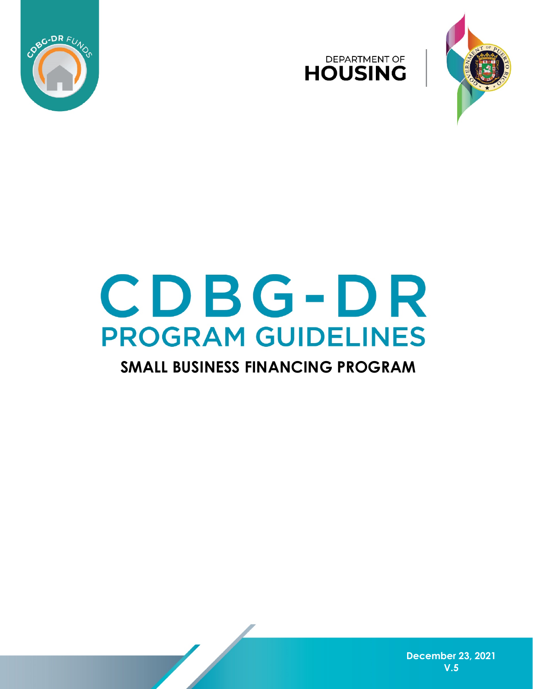





# CDBG-DR **PROGRAM GUIDELINES**

# **SMALL BUSINESS FINANCING PROGRAM**

**December 23, 2021 V.5**

**Version 1.0**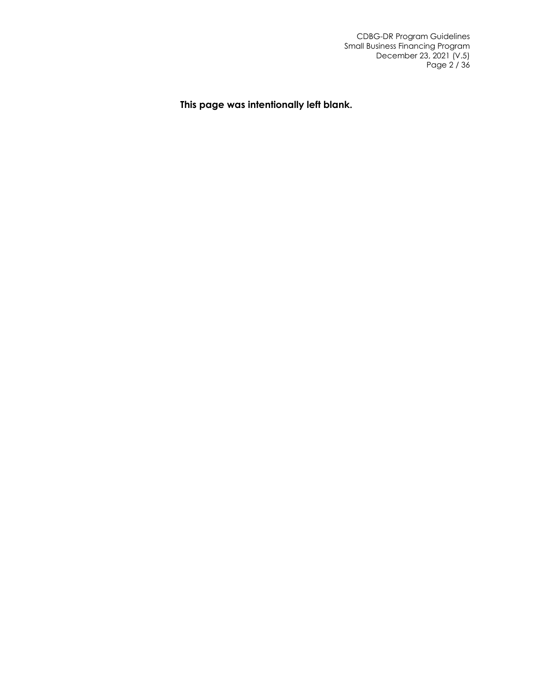CDBG-DR Program Guidelines Small Business Financing Program December 23, 2021 (V.5) Page 2 / 36

**This page was intentionally left blank.**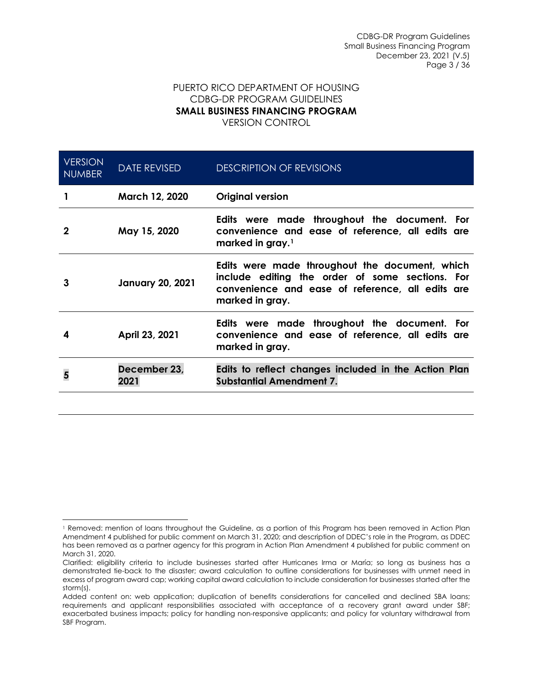CDBG-DR Program Guidelines Small Business Financing Program December 23, 2021 (V.5) Page 3 / 36

#### PUERTO RICO DEPARTMENT OF HOUSING CDBG-DR PROGRAM GUIDELINES **SMALL BUSINESS FINANCING PROGRAM** VERSION CONTROL

| <b>VERSION</b><br><b>NUMBER</b> | <b>DATE REVISED</b>     | <b>DESCRIPTION OF REVISIONS</b>                                                                                                                                          |
|---------------------------------|-------------------------|--------------------------------------------------------------------------------------------------------------------------------------------------------------------------|
|                                 | March 12, 2020          | <b>Original version</b>                                                                                                                                                  |
| $\mathbf 2$                     | May 15, 2020            | Edits were made throughout the document. For<br>convenience and ease of reference, all edits are<br>marked in gray. $1$                                                  |
| 3                               | <b>January 20, 2021</b> | Edits were made throughout the document, which<br>include editing the order of some sections. For<br>convenience and ease of reference, all edits are<br>marked in gray. |
| 4                               | April 23, 2021          | Edits were made throughout the document. For<br>convenience and ease of reference, all edits are<br>marked in gray.                                                      |
| 5                               | December 23,<br>2021    | Edits to reflect changes included in the Action Plan<br><b>Substantial Amendment 7.</b>                                                                                  |

<span id="page-2-0"></span> <sup>1</sup> Removed: mention of loans throughout the Guideline, as a portion of this Program has been removed in Action Plan Amendment 4 published for public comment on March 31, 2020; and description of DDEC's role in the Program, as DDEC has been removed as a partner agency for this program in Action Plan Amendment 4 published for public comment on March 31, 2020.

Clarified: eligibility criteria to include businesses started after Hurricanes Irma or María; so long as business has a demonstrated tie-back to the disaster; award calculation to outline considerations for businesses with unmet need in excess of program award cap; working capital award calculation to include consideration for businesses started after the storm(s).

Added content on: web application; duplication of benefits considerations for cancelled and declined SBA loans; requirements and applicant responsibilities associated with acceptance of a recovery grant award under SBF; exacerbated business impacts; policy for handling non-responsive applicants; and policy for voluntary withdrawal from SBF Program.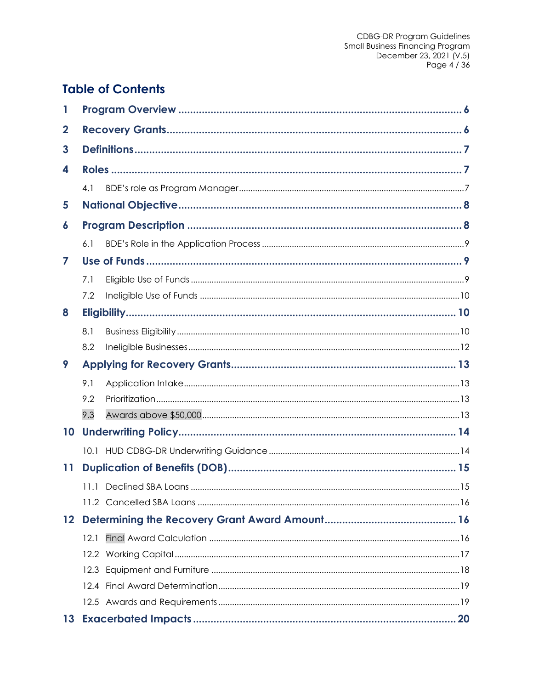# **Table of Contents**

| 1           |      |  |
|-------------|------|--|
| $\mathbf 2$ |      |  |
| 3           |      |  |
| 4           |      |  |
|             | 4.1  |  |
| 5           |      |  |
| 6           |      |  |
|             | 6.1  |  |
| 7           |      |  |
|             | 7.1  |  |
|             | 7.2  |  |
| 8           |      |  |
|             | 8.1  |  |
|             | 8.2  |  |
| 9           |      |  |
|             | 9.1  |  |
|             | 9.2  |  |
|             | 9.3  |  |
| 10          |      |  |
|             |      |  |
| 11          |      |  |
|             |      |  |
|             |      |  |
| $12 \,$     |      |  |
|             | 12.1 |  |
|             |      |  |
|             |      |  |
|             |      |  |
|             |      |  |
|             |      |  |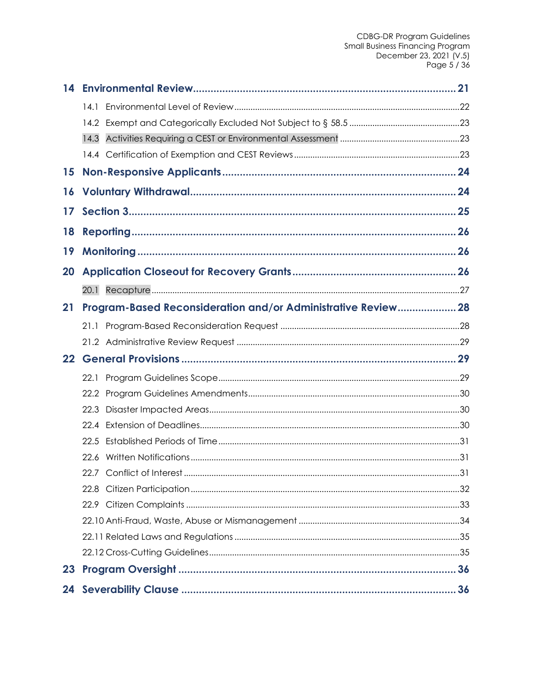| 14     |                                                               |  |
|--------|---------------------------------------------------------------|--|
|        | 14.1                                                          |  |
|        | 14.2                                                          |  |
|        | 14.3                                                          |  |
|        |                                                               |  |
| 15     |                                                               |  |
| 16     |                                                               |  |
| 17     |                                                               |  |
| 18     |                                                               |  |
| 19     |                                                               |  |
| 20     |                                                               |  |
|        |                                                               |  |
| 21     | Program-Based Reconsideration and/or Administrative Review 28 |  |
|        |                                                               |  |
|        |                                                               |  |
| $22\,$ |                                                               |  |
|        | 22.1                                                          |  |
|        |                                                               |  |
|        | 22.3                                                          |  |
|        | 22.4                                                          |  |
|        | 22.5                                                          |  |
|        | 22.6                                                          |  |
|        |                                                               |  |
|        | 22.8                                                          |  |
|        |                                                               |  |
|        |                                                               |  |
|        |                                                               |  |
|        |                                                               |  |
| 23     |                                                               |  |
| 24     |                                                               |  |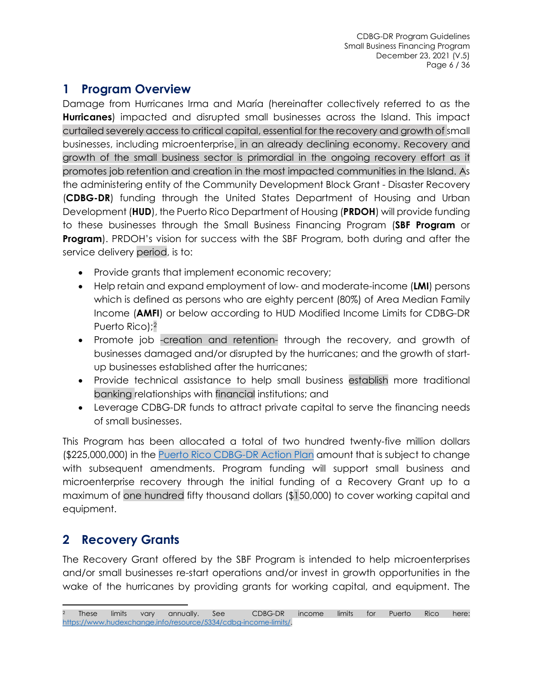# <span id="page-5-0"></span>**1 Program Overview**

Damage from Hurricanes Irma and María (hereinafter collectively referred to as the **Hurricanes**) impacted and disrupted small businesses across the Island. This impact curtailed severely access to critical capital, essential for the recovery and growth of small businesses, including microenterprise, in an already declining economy. Recovery and growth of the small business sector is primordial in the ongoing recovery effort as it promotes job retention and creation in the most impacted communities in the Island. As the administering entity of the Community Development Block Grant - Disaster Recovery (**CDBG-DR**) funding through the United States Department of Housing and Urban Development (**HUD**), the Puerto Rico Department of Housing (**PRDOH**) will provide funding to these businesses through the Small Business Financing Program (**SBF Program** or **Program**). PRDOH's vision for success with the SBF Program, both during and after the service delivery period, is to:

- Provide grants that implement economic recovery;
- Help retain and expand employment of low- and moderate-income (**LMI**) persons which is defined as persons who are eighty percent (80%) of Area Median Family Income (**AMFI**) or below according to HUD Modified Income Limits for CDBG-DR Puerto Rico);[2](#page-5-2)
- Promote job -creation and retention- through the recovery, and growth of businesses damaged and/or disrupted by the hurricanes; and the growth of startup businesses established after the hurricanes;
- Provide technical assistance to help small business establish more traditional banking relationships with financial institutions; and
- Leverage CDBG-DR funds to attract private capital to serve the financing needs of small businesses.

This Program has been allocated a total of two hundred twenty-five million dollars (\$225,000,000) in the [Puerto Rico CDBG-DR Action Plan](https://cdbg-dr.pr.gov/en/action-plan/) amount that is subject to change with subsequent amendments. Program funding will support small business and microenterprise recovery through the initial funding of a Recovery Grant up to a maximum of one hundred fifty thousand dollars (\$150,000) to cover working capital and equipment.

# <span id="page-5-1"></span>**2 Recovery Grants**

The Recovery Grant offered by the SBF Program is intended to help microenterprises and/or small businesses re-start operations and/or invest in growth opportunities in the wake of the hurricanes by providing grants for working capital, and equipment. The

<span id="page-5-2"></span> <sup>2</sup> These limits vary annually. See CDBG-DR income limits for Puerto Rico here: [https://www.hudexchange.info/resource/5334/cdbg-income-limits/.](https://www.hudexchange.info/resource/5334/cdbg-income-limits/)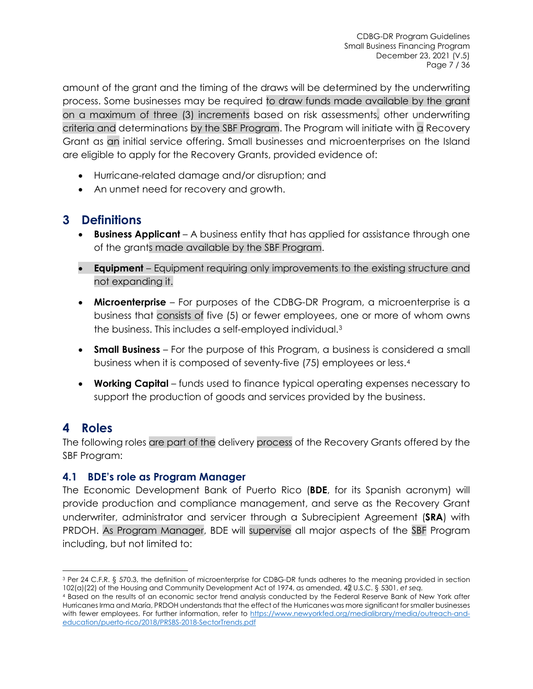amount of the grant and the timing of the draws will be determined by the underwriting process. Some businesses may be required to draw funds made available by the grant on a maximum of three (3) increments based on risk assessments, other underwriting criteria and determinations by the SBF Program. The Program will initiate with a Recovery Grant as an initial service offering. Small businesses and microenterprises on the Island are eligible to apply for the Recovery Grants, provided evidence of:

- Hurricane-related damage and/or disruption; and
- An unmet need for recovery and growth.

# <span id="page-6-0"></span>**3 Definitions**

- **Business Applicant** A business entity that has applied for assistance through one of the grants made available by the SBF Program.
- **Equipment**  Equipment requiring only improvements to the existing structure and not expanding it.
- **Microenterprise** For purposes of the CDBG-DR Program, a microenterprise is a business that consists of five (5) or fewer employees, one or more of whom owns the business. This includes a self-employed individual.[3](#page-6-3)
- **Small Business** For the purpose of this Program, a business is considered a small business when it is composed of seventy-five (75) employees or less.[4](#page-6-4)
- **Working Capital** funds used to finance typical operating expenses necessary to support the production of goods and services provided by the business.

# <span id="page-6-1"></span>**4 Roles**

The following roles are part of the delivery process of the Recovery Grants offered by the SBF Program:

#### <span id="page-6-2"></span>**4.1 BDE's role as Program Manager**

The Economic Development Bank of Puerto Rico (**BDE**, for its Spanish acronym) will provide production and compliance management, and serve as the Recovery Grant underwriter, administrator and servicer through a Subrecipient Agreement (**SRA**) with PRDOH. As Program Manager, BDE will supervise all major aspects of the SBF Program including, but not limited to:

<span id="page-6-3"></span> <sup>3</sup> Per 24 C.F.R. § 570.3, the definition of microenterprise for CDBG-DR funds adheres to the meaning provided in section 102(a)(22) of the Housing and Community Development Act of 1974, as amended, 42 U.S.C. § 5301, *et seq.*

<span id="page-6-4"></span><sup>4</sup> Based on the results of an economic sector trend analysis conducted by the Federal Reserve Bank of New York after Hurricanes Irma and María, PRDOH understands that the effect of the Hurricanes was more significant for smaller businesses with fewer employees. For further information, refer to [https://www.newyorkfed.org/medialibrary/media/outreach-and](https://www.newyorkfed.org/medialibrary/media/outreach-and-education/puerto-rico/2018/PRSBS-2018-SectorTrends.pdf)[education/puerto-rico/2018/PRSBS-2018-SectorTrends.pdf](https://www.newyorkfed.org/medialibrary/media/outreach-and-education/puerto-rico/2018/PRSBS-2018-SectorTrends.pdf)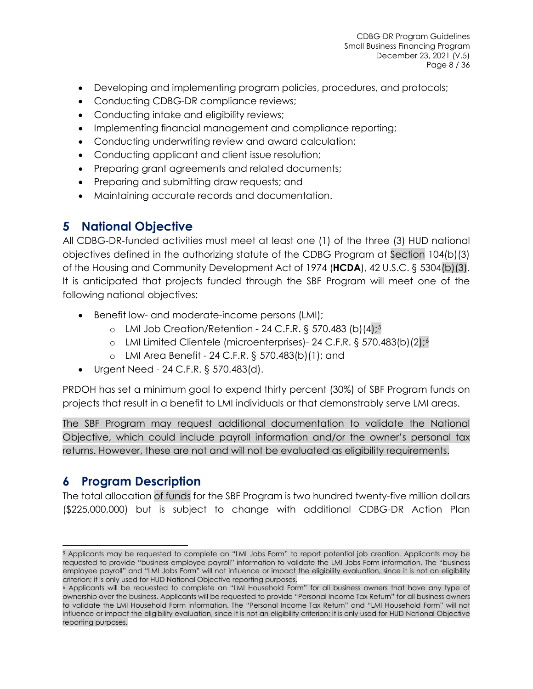- Developing and implementing program policies, procedures, and protocols;
- Conducting CDBG-DR compliance reviews;
- Conducting intake and eligibility reviews;
- Implementing financial management and compliance reporting;
- Conducting underwriting review and award calculation;
- Conducting applicant and client issue resolution;
- Preparing grant agreements and related documents;
- Preparing and submitting draw requests; and
- Maintaining accurate records and documentation.

# <span id="page-7-0"></span>**5 National Objective**

All CDBG-DR-funded activities must meet at least one (1) of the three (3) HUD national objectives defined in the authorizing statute of the CDBG Program at Section 104(b)(3) of the Housing and Community Development Act of 1974 (**HCDA**), 42 U.S.C. § 5304(b)(3). It is anticipated that projects funded through the SBF Program will meet one of the following national objectives:

- Benefit low- and moderate-income persons (LMI);
	- o LMI Job Creation/Retention 24 C.F.R. § [5](#page-7-2)70.483 (b)(4);<sup>5</sup>
	- o LMI Limited Clientele (microenterprises)- 24 C.F.R. § 570.483(b)(2);[6](#page-7-3)
	- o LMI Area Benefit 24 C.F.R. § 570.483(b)(1); and
- Urgent Need 24 C.F.R. § 570.483(d).

PRDOH has set a minimum goal to expend thirty percent (30%) of SBF Program funds on projects that result in a benefit to LMI individuals or that demonstrably serve LMI areas.

The SBF Program may request additional documentation to validate the National Objective, which could include payroll information and/or the owner's personal tax returns. However, these are not and will not be evaluated as eligibility requirements.

## <span id="page-7-1"></span>**6 Program Description**

The total allocation of funds for the SBF Program is two hundred twenty-five million dollars (\$225,000,000) but is subject to change with additional CDBG-DR Action Plan

<span id="page-7-2"></span> <sup>5</sup> Applicants may be requested to complete an "LMI Jobs Form" to report potential job creation. Applicants may be requested to provide "business employee payroll" information to validate the LMI Jobs Form information. The "business employee payroll" and "LMI Jobs Form" will not influence or impact the eligibility evaluation, since it is not an eligibility criterion; it is only used for HUD National Objective reporting purposes.

<span id="page-7-3"></span><sup>6</sup> Applicants will be requested to complete an "LMI Household Form" for all business owners that have any type of ownership over the business. Applicants will be requested to provide "Personal Income Tax Return" for all business owners to validate the LMI Household Form information. The "Personal Income Tax Return" and "LMI Household Form" will not influence or impact the eligibility evaluation, since it is not an eligibility criterion; it is only used for HUD National Objective reporting purposes.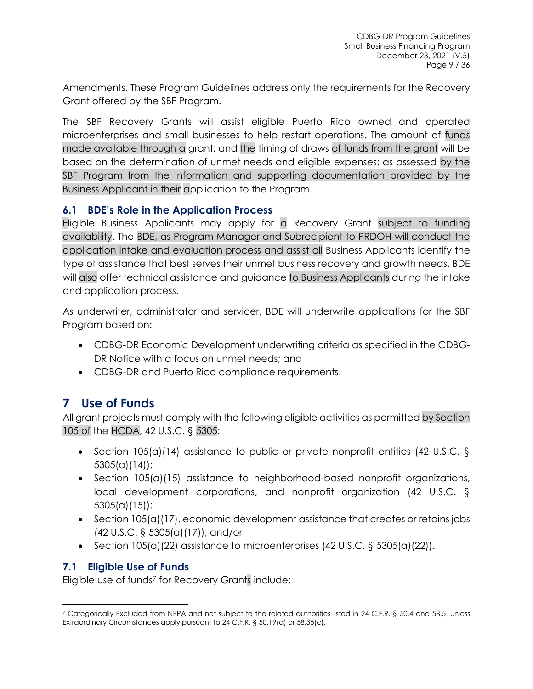Amendments. These Program Guidelines address only the requirements for the Recovery Grant offered by the SBF Program.

The SBF Recovery Grants will assist eligible Puerto Rico owned and operated microenterprises and small businesses to help restart operations. The amount of funds made available through a grant; and the timing of draws of funds from the grant will be based on the determination of unmet needs and eligible expenses; as assessed by the SBF Program from the information and supporting documentation provided by the Business Applicant in their application to the Program.

#### <span id="page-8-0"></span>**6.1 BDE's Role in the Application Process**

Eligible Business Applicants may apply for a Recovery Grant subject to funding availability. The BDE, as Program Manager and Subrecipient to PRDOH will conduct the application intake and evaluation process and assist all Business Applicants identify the type of assistance that best serves their unmet business recovery and growth needs. BDE will also offer technical assistance and guidance to Business Applicants during the intake and application process.

As underwriter, administrator and servicer, BDE will underwrite applications for the SBF Program based on:

- CDBG-DR Economic Development underwriting criteria as specified in the CDBG-DR Notice with a focus on unmet needs; and
- CDBG-DR and Puerto Rico compliance requirements.

# <span id="page-8-1"></span>**7 Use of Funds**

All grant projects must comply with the following eligible activities as permitted by Section 105 of the HCDA, 42 U.S.C. § 5305:

- Section 105(a)(14) assistance to public or private nonprofit entities (42 U.S.C.  $\S$ 5305(a)(14));
- Section 105(a)(15) assistance to neighborhood-based nonprofit organizations, local development corporations, and nonprofit organization (42 U.S.C. § 5305(a)(15));
- Section 105(a)(17), economic development assistance that creates or retains jobs (42 U.S.C. § 5305(a)(17)); and/or
- Section 105(a)(22) assistance to microenterprises (42 U.S.C.  $\S$  5305(a)(22)).

#### <span id="page-8-2"></span>**7.1 Eligible Use of Funds**

Eligible use of funds<sup>[7](#page-8-3)</sup> for Recovery Grants include:

<span id="page-8-3"></span> <sup>7</sup> Categorically Excluded from NEPA and not subject to the related authorities listed in 24 C.F.R. § 50.4 and 58.5, unless Extraordinary Circumstances apply pursuant to 24 C.F.R. § 50.19(a) or 58.35(c).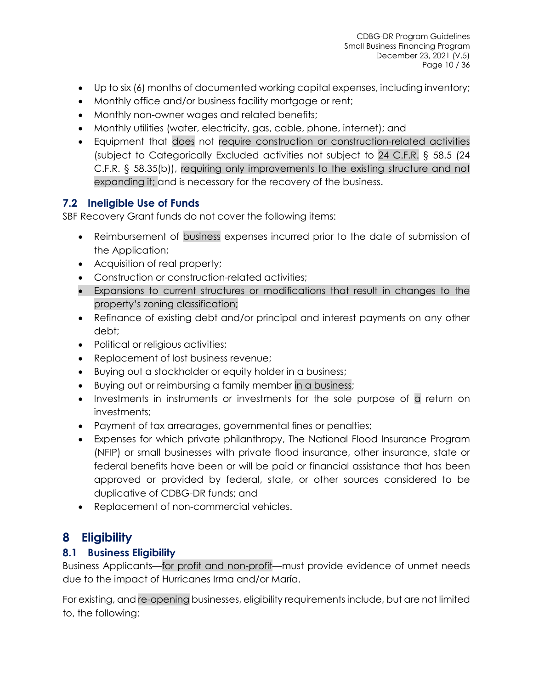- Up to six (6) months of documented working capital expenses, including inventory;
- Monthly office and/or business facility mortgage or rent;
- Monthly non-owner wages and related benefits;
- Monthly utilities (water, electricity, gas, cable, phone, internet); and
- Equipment that does not require construction or construction-related activities (subject to Categorically Excluded activities not subject to 24 C.F.R. § 58.5 (24 C.F.R. § 58.35(b)), requiring only improvements to the existing structure and not expanding it; and is necessary for the recovery of the business.

#### <span id="page-9-0"></span>**7.2 Ineligible Use of Funds**

SBF Recovery Grant funds do not cover the following items:

- Reimbursement of business expenses incurred prior to the date of submission of the Application;
- Acquisition of real property;
- Construction or construction-related activities;
- Expansions to current structures or modifications that result in changes to the property's zoning classification;
- Refinance of existing debt and/or principal and interest payments on any other debt;
- Political or religious activities;
- Replacement of lost business revenue;
- Buying out a stockholder or equity holder in a business;
- Buying out or reimbursing a family member in a business;
- Investments in instruments or investments for the sole purpose of a return on investments;
- Payment of tax arrearages, governmental fines or penalties;
- Expenses for which private philanthropy, The National Flood Insurance Program (NFIP) or small businesses with private flood insurance, other insurance, state or federal benefits have been or will be paid or financial assistance that has been approved or provided by federal, state, or other sources considered to be duplicative of CDBG-DR funds; and
- Replacement of non-commercial vehicles.

# <span id="page-9-1"></span>**8 Eligibility**

#### <span id="page-9-2"></span>**8.1 Business Eligibility**

Business Applicants—for profit and non-profit—must provide evidence of unmet needs due to the impact of Hurricanes Irma and/or María.

For existing, and re-opening businesses, eligibility requirements include, but are not limited to, the following: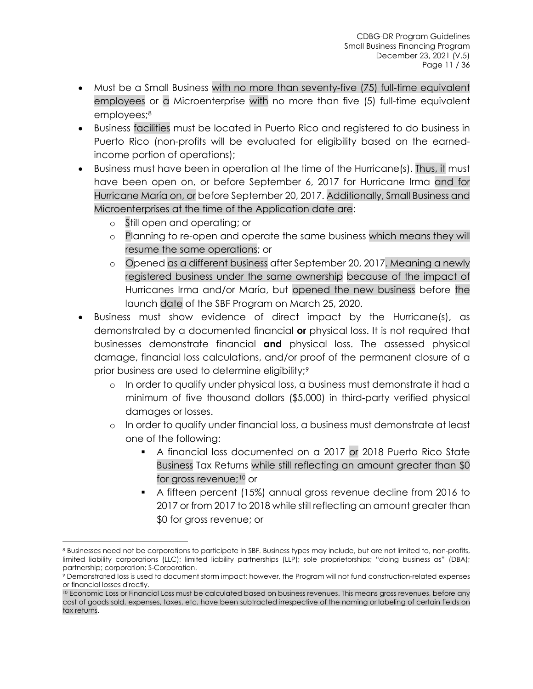- Must be a Small Business with no more than seventy-five (75) full-time equivalent employees or a Microenterprise with no more than five (5) full-time equivalent employees;<sup>[8](#page-10-0)</sup>
- Business facilities must be located in Puerto Rico and registered to do business in Puerto Rico (non-profits will be evaluated for eligibility based on the earnedincome portion of operations);
- Business must have been in operation at the time of the Hurricane(s). Thus, it must have been open on, or before September 6, 2017 for Hurricane Irma and for Hurricane María on, or before September 20, 2017. Additionally, Small Business and Microenterprises at the time of the Application date are:
	- o Still open and operating; or
	- o Planning to re-open and operate the same business which means they will resume the same operations; or
	- o Opened as a different business after September 20, 2017. Meaning a newly registered business under the same ownership because of the impact of Hurricanes Irma and/or María, but opened the new business before the launch date of the SBF Program on March 25, 2020.
- Business must show evidence of direct impact by the Hurricane(s), as demonstrated by a documented financial **or** physical loss. It is not required that businesses demonstrate financial **and** physical loss. The assessed physical damage, financial loss calculations, and/or proof of the permanent closure of a prior business are used to determine eligibility;<sup>[9](#page-10-1)</sup>
	- o In order to qualify under physical loss, a business must demonstrate it had a minimum of five thousand dollars (\$5,000) in third-party verified physical damages or losses.
	- o In order to qualify under financial loss, a business must demonstrate at least one of the following:
		- A financial loss documented on a 2017 or 2018 Puerto Rico State Business Tax Returns while still reflecting an amount greater than \$0 for gross revenue;<sup>[10](#page-10-2)</sup> or
		- A fifteen percent (15%) annual gross revenue decline from 2016 to 2017 or from 2017 to 2018 while still reflecting an amount greater than \$0 for gross revenue; or

<span id="page-10-0"></span><sup>8</sup> Businesses need not be corporations to participate in SBF. Business types may include, but are not limited to, non-profits, limited liability corporations (LLC); limited liability partnerships (LLP); sole proprietorships; "doing business as" (DBA); partnership; corporation; S-Corporation.

<span id="page-10-1"></span><sup>9</sup> Demonstrated loss is used to document storm impact; however, the Program will not fund construction-related expenses or financial losses directly.

<span id="page-10-2"></span><sup>&</sup>lt;sup>10</sup> Economic Loss or Financial Loss must be calculated based on business revenues. This means gross revenues, before any cost of goods sold, expenses, taxes, etc. have been subtracted irrespective of the naming or labeling of certain fields on tax returns.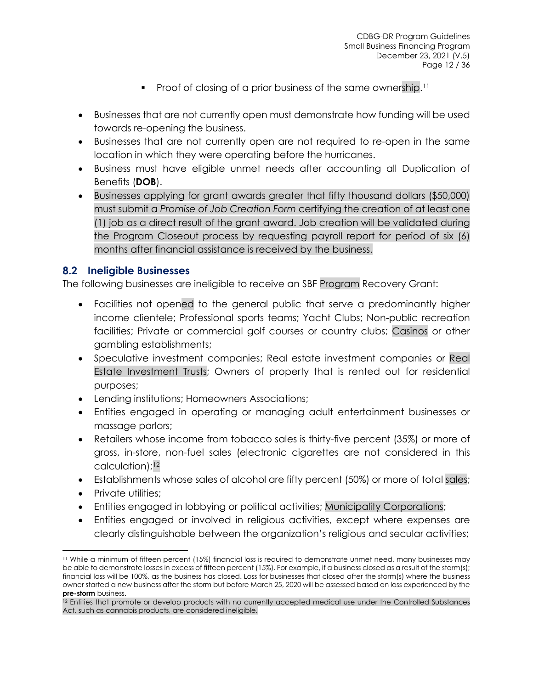- **Proof of closing of a prior business of the same ownership.**<sup>[11](#page-11-1)</sup>
- Businesses that are not currently open must demonstrate how funding will be used towards re-opening the business.
- Businesses that are not currently open are not required to re-open in the same location in which they were operating before the hurricanes.
- Business must have eligible unmet needs after accounting all Duplication of Benefits (**DOB**).
- Businesses applying for grant awards greater that fifty thousand dollars (\$50,000) must submit a *Promise of Job Creation Form* certifying the creation of at least one (1) job as a direct result of the grant award. Job creation will be validated during the Program Closeout process by requesting payroll report for period of six (6) months after financial assistance is received by the business.

#### <span id="page-11-0"></span>**8.2 Ineligible Businesses**

The following businesses are ineligible to receive an SBF Program Recovery Grant:

- Facilities not opened to the general public that serve a predominantly higher income clientele; Professional sports teams; Yacht Clubs; Non-public recreation facilities; Private or commercial golf courses or country clubs; Casinos or other gambling establishments;
- Speculative investment companies; Real estate investment companies or Real Estate Investment Trusts; Owners of property that is rented out for residential purposes;
- Lending institutions; Homeowners Associations;
- Entities engaged in operating or managing adult entertainment businesses or massage parlors;
- Retailers whose income from tobacco sales is thirty-five percent (35%) or more of gross, in-store, non-fuel sales (electronic cigarettes are not considered in this calculation);<sup>[12](#page-11-2)</sup>
- Establishments whose sales of alcohol are fifty percent (50%) or more of total sales;
- Private utilities:
- Entities engaged in lobbying or political activities; Municipality Corporations;
- Entities engaged or involved in religious activities, except where expenses are clearly distinguishable between the organization's religious and secular activities;

<span id="page-11-1"></span> <sup>11</sup> While a minimum of fifteen percent (15%) financial loss is required to demonstrate unmet need, many businesses may be able to demonstrate losses in excess of fifteen percent (15%). For example, if a business closed as a result of the storm(s); financial loss will be 100%, as the business has closed. Loss for businesses that closed after the storm(s) where the business owner started a new business after the storm but before March 25, 2020 will be assessed based on loss experienced by the **pre-storm** business.

<span id="page-11-2"></span><sup>&</sup>lt;sup>12</sup> Entities that promote or develop products with no currently accepted medical use under the Controlled Substances Act, such as cannabis products, are considered ineligible.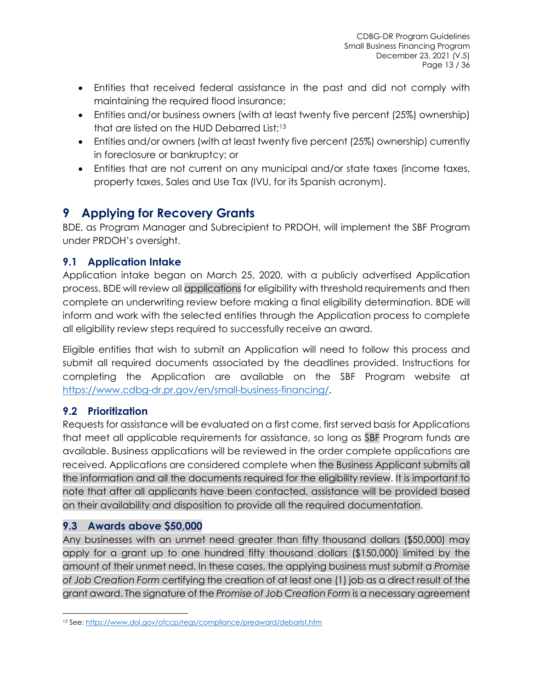- Entities that received federal assistance in the past and did not comply with maintaining the required flood insurance;
- Entities and/or business owners (with at least twenty five percent (25%) ownership) that are listed on the HUD Debarred List;[13](#page-12-4)
- Entities and/or owners (with at least twenty five percent (25%) ownership) currently in foreclosure or bankruptcy; or
- Entities that are not current on any municipal and/or state taxes (income taxes, property taxes, Sales and Use Tax (IVU, for its Spanish acronym).

# <span id="page-12-0"></span>**9 Applying for Recovery Grants**

BDE, as Program Manager and Subrecipient to PRDOH, will implement the SBF Program under PRDOH's oversight.

#### <span id="page-12-1"></span>**9.1 Application Intake**

Application intake began on March 25, 2020, with a publicly advertised Application process. BDE will review all applications for eligibility with threshold requirements and then complete an underwriting review before making a final eligibility determination. BDE will inform and work with the selected entities through the Application process to complete all eligibility review steps required to successfully receive an award.

Eligible entities that wish to submit an Application will need to follow this process and submit all required documents associated by the deadlines provided. Instructions for completing the Application are available on the SBF Program website at [https://www.cdbg-dr.pr.gov/en/small-business-financing/.](https://www.cdbg-dr.pr.gov/en/small-business-financing/)

#### <span id="page-12-2"></span>**9.2 Prioritization**

Requests for assistance will be evaluated on a first come, first served basis for Applications that meet all applicable requirements for assistance, so long as SBF Program funds are available. Business applications will be reviewed in the order complete applications are received. Applications are considered complete when the Business Applicant submits all the information and all the documents required for the eligibility review. It is important to note that after all applicants have been contacted, assistance will be provided based on their availability and disposition to provide all the required documentation.

#### <span id="page-12-3"></span>**9.3 Awards above \$50,000**

Any businesses with an unmet need greater than fifty thousand dollars (\$50,000) may apply for a grant up to one hundred fifty thousand dollars (\$150,000) limited by the amount of their unmet need. In these cases, the applying business must submit a *Promise of Job Creation Form* certifying the creation of at least one (1) job as a direct result of the grant award. The signature of the *Promise of Job Creation Form* is a necessary agreement

<span id="page-12-4"></span> <sup>13</sup> See[: https://www.dol.gov/ofccp/regs/compliance/preaward/debarlst.htm](https://www.dol.gov/ofccp/regs/compliance/preaward/debarlst.htm)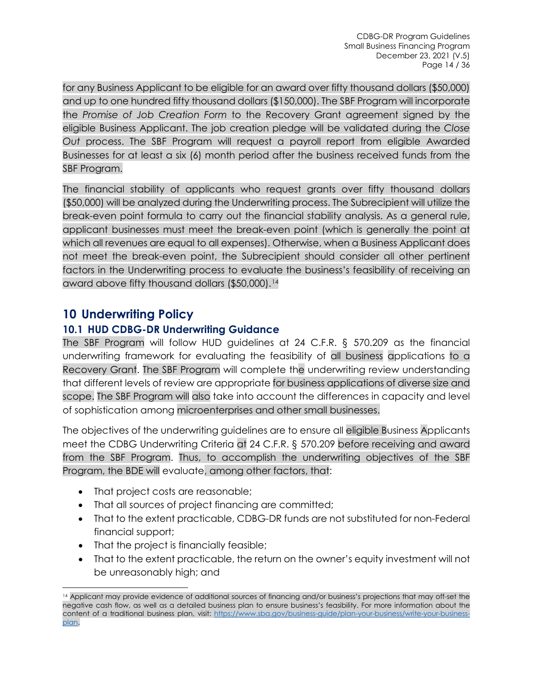for any Business Applicant to be eligible for an award over fifty thousand dollars (\$50,000) and up to one hundred fifty thousand dollars (\$150,000). The SBF Program will incorporate the *Promise of Job Creation Form* to the Recovery Grant agreement signed by the eligible Business Applicant. The job creation pledge will be validated during the *Close Out* process. The SBF Program will request a payroll report from eligible Awarded Businesses for at least a six (6) month period after the business received funds from the SBF Program.

The financial stability of applicants who request grants over fifty thousand dollars (\$50,000) will be analyzed during the Underwriting process. The Subrecipient will utilize the break-even point formula to carry out the financial stability analysis. As a general rule, applicant businesses must meet the break-even point (which is generally the point at which all revenues are equal to all expenses). Otherwise, when a Business Applicant does not meet the break-even point, the Subrecipient should consider all other pertinent factors in the Underwriting process to evaluate the business's feasibility of receiving an award above fifty thousand dollars (\$50,000).[14](#page-13-2)

## <span id="page-13-0"></span>**10 Underwriting Policy**

#### <span id="page-13-1"></span>**10.1 HUD CDBG-DR Underwriting Guidance**

The SBF Program will follow HUD guidelines at 24 C.F.R. § 570.209 as the financial underwriting framework for evaluating the feasibility of all business applications to a Recovery Grant. The SBF Program will complete the underwriting review understanding that different levels of review are appropriate for business applications of diverse size and scope. The SBF Program will also take into account the differences in capacity and level of sophistication among microenterprises and other small businesses.

The objectives of the underwriting guidelines are to ensure all eligible Business Applicants meet the CDBG Underwriting Criteria at 24 C.F.R. § 570.209 before receiving and award from the SBF Program. Thus, to accomplish the underwriting objectives of the SBF Program, the BDE will evaluate, among other factors, that:

- That project costs are reasonable;
- That all sources of project financing are committed;
- That to the extent practicable, CDBG-DR funds are not substituted for non-Federal financial support;
- That the project is financially feasible;
- That to the extent practicable, the return on the owner's equity investment will not be unreasonably high; and

<span id="page-13-2"></span> <sup>14</sup> Applicant may provide evidence of additional sources of financing and/or business's projections that may off-set the negative cash flow, as well as a detailed business plan to ensure business's feasibility. For more information about the content of a traditional business plan, visit: [https://www.sba.gov/business-guide/plan-your-business/write-your-business](https://www.sba.gov/business-guide/plan-your-business/write-your-business-plan)[plan.](https://www.sba.gov/business-guide/plan-your-business/write-your-business-plan)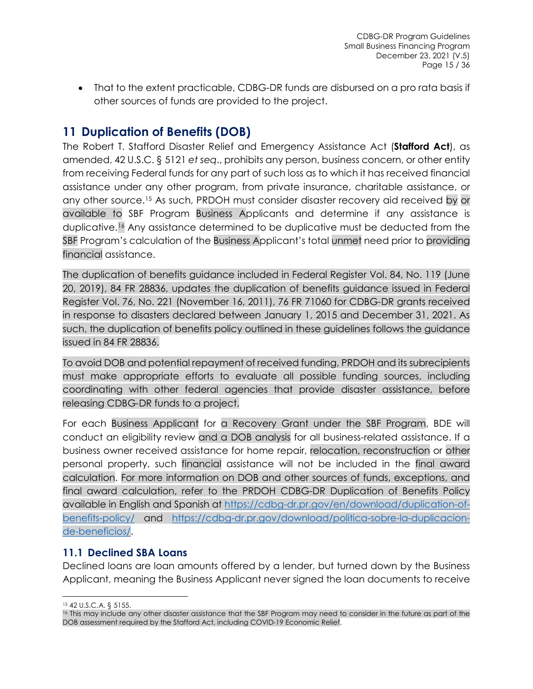• That to the extent practicable, CDBG-DR funds are disbursed on a pro rata basis if other sources of funds are provided to the project.

# <span id="page-14-0"></span>**11 Duplication of Benefits (DOB)**

The Robert T. Stafford Disaster Relief and Emergency Assistance Act (**Stafford Act**), as amended, 42 U.S.C. § 5121 *et seq*., prohibits any person, business concern, or other entity from receiving Federal funds for any part of such loss as to which it has received financial assistance under any other program, from private insurance, charitable assistance, or any other source.[15](#page-14-2) As such, PRDOH must consider disaster recovery aid received by or available to SBF Program Business Applicants and determine if any assistance is duplicative[.16](#page-14-3) Any assistance determined to be duplicative must be deducted from the SBF Program's calculation of the Business Applicant's total unmet need prior to providing financial assistance.

The duplication of benefits guidance included in Federal Register Vol. 84, No. 119 (June 20, 2019), 84 FR 28836, updates the duplication of benefits guidance issued in Federal Register Vol. 76, No. 221 (November 16, 2011), 76 FR 71060 for CDBG-DR grants received in response to disasters declared between January 1, 2015 and December 31, 2021. As such, the duplication of benefits policy outlined in these guidelines follows the guidance issued in 84 FR 28836.

To avoid DOB and potential repayment of received funding, PRDOH and its subrecipients must make appropriate efforts to evaluate all possible funding sources, including coordinating with other federal agencies that provide disaster assistance, before releasing CDBG-DR funds to a project.

For each Business Applicant for a Recovery Grant under the SBF Program, BDE will conduct an eligibility review and a DOB analysis for all business-related assistance. If a business owner received assistance for home repair, relocation, reconstruction or other personal property, such financial assistance will not be included in the final award calculation. For more information on DOB and other sources of funds, exceptions, and final award calculation, refer to the PRDOH CDBG-DR Duplication of Benefits Policy available in English and Spanish at [https://cdbg-dr.pr.gov/en/download/duplication-of](https://cdbg-dr.pr.gov/en/download/duplication-of-benefits-policy/)[benefits-policy/](https://cdbg-dr.pr.gov/en/download/duplication-of-benefits-policy/) and [https://cdbg-dr.pr.gov/download/politica-sobre-la-duplicacion](https://cdbg-dr.pr.gov/download/politica-sobre-la-duplicacion-de-beneficios/)[de-beneficios/.](https://cdbg-dr.pr.gov/download/politica-sobre-la-duplicacion-de-beneficios/)

#### <span id="page-14-1"></span>**11.1 Declined SBA Loans**

Declined loans are loan amounts offered by a lender, but turned down by the Business Applicant, meaning the Business Applicant never signed the loan documents to receive

 <sup>15</sup> 42 U.S.C.A. § 5155.

<span id="page-14-3"></span><span id="page-14-2"></span><sup>16</sup> This may include any other disaster assistance that the SBF Program may need to consider in the future as part of the DOB assessment required by the Stafford Act, including COVID-19 Economic Relief.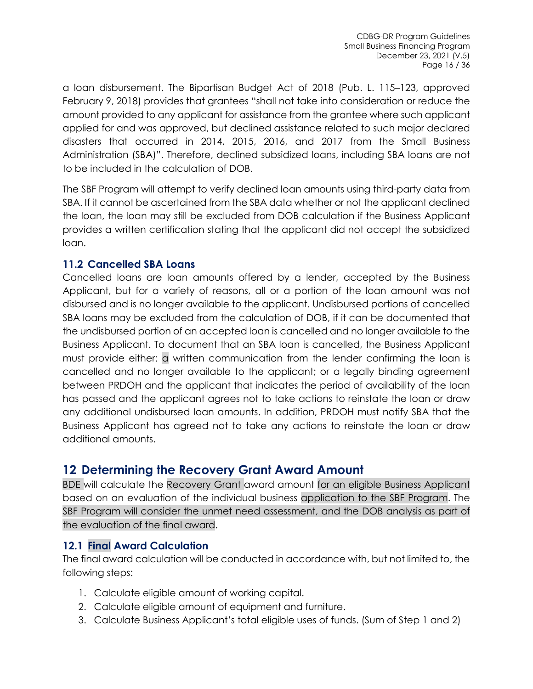a loan disbursement. The Bipartisan Budget Act of 2018 (Pub. L. 115–123, approved February 9, 2018) provides that grantees "shall not take into consideration or reduce the amount provided to any applicant for assistance from the grantee where such applicant applied for and was approved, but declined assistance related to such major declared disasters that occurred in 2014, 2015, 2016, and 2017 from the Small Business Administration (SBA)". Therefore, declined subsidized loans, including SBA loans are not to be included in the calculation of DOB.

The SBF Program will attempt to verify declined loan amounts using third-party data from SBA. If it cannot be ascertained from the SBA data whether or not the applicant declined the loan, the loan may still be excluded from DOB calculation if the Business Applicant provides a written certification stating that the applicant did not accept the subsidized loan.

#### <span id="page-15-0"></span>**11.2 Cancelled SBA Loans**

Cancelled loans are loan amounts offered by a lender, accepted by the Business Applicant, but for a variety of reasons, all or a portion of the loan amount was not disbursed and is no longer available to the applicant. Undisbursed portions of cancelled SBA loans may be excluded from the calculation of DOB, if it can be documented that the undisbursed portion of an accepted loan is cancelled and no longer available to the Business Applicant. To document that an SBA loan is cancelled, the Business Applicant must provide either: a written communication from the lender confirming the loan is cancelled and no longer available to the applicant; or a legally binding agreement between PRDOH and the applicant that indicates the period of availability of the loan has passed and the applicant agrees not to take actions to reinstate the loan or draw any additional undisbursed loan amounts. In addition, PRDOH must notify SBA that the Business Applicant has agreed not to take any actions to reinstate the loan or draw additional amounts.

# <span id="page-15-1"></span>**12 Determining the Recovery Grant Award Amount**

BDE will calculate the Recovery Grant award amount for an eligible Business Applicant based on an evaluation of the individual business application to the SBF Program. The SBF Program will consider the unmet need assessment, and the DOB analysis as part of the evaluation of the final award.

#### <span id="page-15-2"></span>**12.1 Final Award Calculation**

The final award calculation will be conducted in accordance with, but not limited to, the following steps:

- 1. Calculate eligible amount of working capital.
- 2. Calculate eligible amount of equipment and furniture.
- 3. Calculate Business Applicant's total eligible uses of funds. (Sum of Step 1 and 2)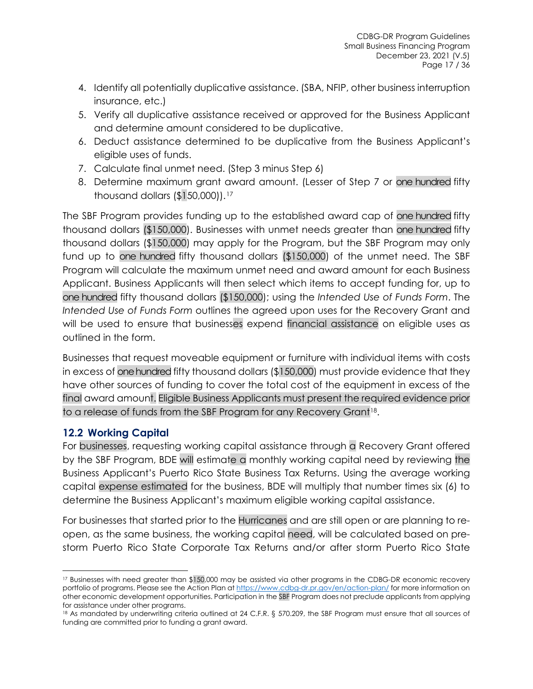- 4. Identify all potentially duplicative assistance. (SBA, NFIP, other business interruption insurance, etc.)
- 5. Verify all duplicative assistance received or approved for the Business Applicant and determine amount considered to be duplicative.
- 6. Deduct assistance determined to be duplicative from the Business Applicant's eligible uses of funds.
- 7. Calculate final unmet need. (Step 3 minus Step 6)
- 8. Determine maximum grant award amount. (Lesser of Step 7 or one hundred fifty thousand dollars (\$150,000)).[17](#page-16-1)

The SBF Program provides funding up to the established award cap of one hundred fifty thousand dollars (\$150,000). Businesses with unmet needs greater than one hundred fifty thousand dollars (\$150,000) may apply for the Program, but the SBF Program may only fund up to one hundred fifty thousand dollars (\$150,000) of the unmet need. The SBF Program will calculate the maximum unmet need and award amount for each Business Applicant. Business Applicants will then select which items to accept funding for, up to one hundred fifty thousand dollars (\$150,000); using the *Intended Use of Funds Form*. The *Intended Use of Funds Form* outlines the agreed upon uses for the Recovery Grant and will be used to ensure that businesses expend financial assistance on eligible uses as outlined in the form.

Businesses that request moveable equipment or furniture with individual items with costs in excess of one hundred fifty thousand dollars (\$150,000) must provide evidence that they have other sources of funding to cover the total cost of the equipment in excess of the final award amount. Eligible Business Applicants must present the required evidence prior to a release of funds from the SBF Program for any Recovery Grant<sup>[18](#page-16-2)</sup>.

#### <span id="page-16-0"></span>**12.2 Working Capital**

For businesses, requesting working capital assistance through a Recovery Grant offered by the SBF Program, BDE will estimate a monthly working capital need by reviewing the Business Applicant's Puerto Rico State Business Tax Returns. Using the average working capital expense estimated for the business, BDE will multiply that number times six (6) to determine the Business Applicant's maximum eligible working capital assistance.

For businesses that started prior to the Hurricanes and are still open or are planning to reopen, as the same business, the working capital need, will be calculated based on prestorm Puerto Rico State Corporate Tax Returns and/or after storm Puerto Rico State

<span id="page-16-1"></span> <sup>17</sup> Businesses with need greater than \$150,000 may be assisted via other programs in the CDBG-DR economic recovery portfolio of programs. Please see the Action Plan a[t https://www.cdbg-dr.pr.gov/en/action-plan/](https://www.cdbg-dr.pr.gov/en/action-plan/) for more information on other economic development opportunities. Participation in the SBF Program does not preclude applicants from applying for assistance under other programs.

<span id="page-16-2"></span><sup>18</sup> As mandated by underwriting criteria outlined at 24 C.F.R. § 570.209, the SBF Program must ensure that all sources of funding are committed prior to funding a grant award.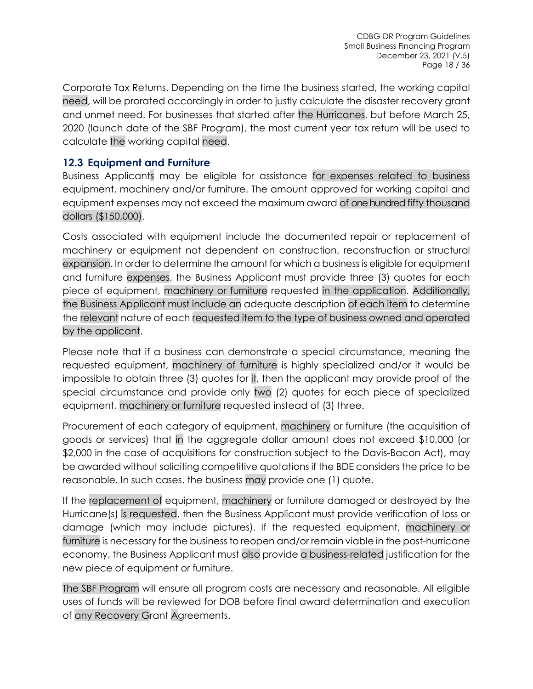Corporate Tax Returns. Depending on the time the business started, the working capital need, will be prorated accordingly in order to justly calculate the disaster recovery grant and unmet need. For businesses that started after the Hurricanes, but before March 25, 2020 (launch date of the SBF Program), the most current year tax return will be used to calculate the working capital need.

#### <span id="page-17-0"></span>**12.3 Equipment and Furniture**

Business Applicants may be eligible for assistance for expenses related to business equipment, machinery and/or furniture. The amount approved for working capital and equipment expenses may not exceed the maximum award of one hundred fifty thousand dollars (\$150,000).

Costs associated with equipment include the documented repair or replacement of machinery or equipment not dependent on construction, reconstruction or structural expansion. In order to determine the amount for which a business is eligible for equipment and furniture expenses, the Business Applicant must provide three (3) quotes for each piece of equipment, machinery or furniture requested in the application. Additionally, the Business Applicant must include an adequate description of each item to determine the relevant nature of each requested item to the type of business owned and operated by the applicant.

Please note that if a business can demonstrate a special circumstance, meaning the requested equipment, machinery of furniture is highly specialized and/or it would be impossible to obtain three (3) quotes for it, then the applicant may provide proof of the special circumstance and provide only two (2) quotes for each piece of specialized equipment, machinery or furniture requested instead of (3) three.

Procurement of each category of equipment, machinery or furniture (the acquisition of goods or services) that in the aggregate dollar amount does not exceed \$10,000 (or \$2,000 in the case of acquisitions for construction subject to the Davis-Bacon Act), may be awarded without soliciting competitive quotations if the BDE considers the price to be reasonable. In such cases, the business may provide one (1) quote.

If the replacement of equipment, machinery or furniture damaged or destroyed by the Hurricane(s) is requested, then the Business Applicant must provide verification of loss or damage (which may include pictures). If the requested equipment, machinery or furniture is necessary for the business to reopen and/or remain viable in the post-hurricane economy, the Business Applicant must also provide a business-related justification for the new piece of equipment or furniture.

The SBF Program will ensure all program costs are necessary and reasonable. All eligible uses of funds will be reviewed for DOB before final award determination and execution of any Recovery Grant Agreements.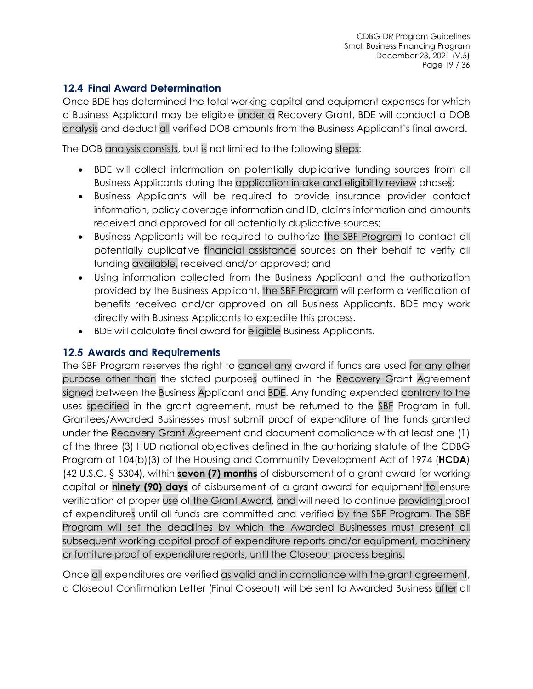#### <span id="page-18-0"></span>**12.4 Final Award Determination**

Once BDE has determined the total working capital and equipment expenses for which a Business Applicant may be eligible under a Recovery Grant, BDE will conduct a DOB analysis and deduct all verified DOB amounts from the Business Applicant's final award.

The DOB analysis consists, but is not limited to the following steps:

- BDE will collect information on potentially duplicative funding sources from all Business Applicants during the application intake and eligibility review phases;
- Business Applicants will be required to provide insurance provider contact information, policy coverage information and ID, claims information and amounts received and approved for all potentially duplicative sources;
- Business Applicants will be required to authorize the SBF Program to contact all potentially duplicative financial assistance sources on their behalf to verify all funding available, received and/or approved; and
- Using information collected from the Business Applicant and the authorization provided by the Business Applicant, the SBF Program will perform a verification of benefits received and/or approved on all Business Applicants. BDE may work directly with Business Applicants to expedite this process.
- BDE will calculate final award for eligible Business Applicants.

#### <span id="page-18-1"></span>**12.5 Awards and Requirements**

The SBF Program reserves the right to cancel any award if funds are used for any other purpose other than the stated purposes outlined in the Recovery Grant Agreement signed between the Business Applicant and BDE. Any funding expended contrary to the uses specified in the grant agreement, must be returned to the SBF Program in full. Grantees/Awarded Businesses must submit proof of expenditure of the funds granted under the Recovery Grant Agreement and document compliance with at least one (1) of the three (3) HUD national objectives defined in the authorizing statute of the CDBG Program at 104(b)(3) of the Housing and Community Development Act of 1974 (**HCDA**) (42 U.S.C. § 5304), within **seven (7) months** of disbursement of a grant award for working capital or **ninety (90) days** of disbursement of a grant award for equipment to ensure verification of proper use of the Grant Award, and will need to continue providing proof of expenditures until all funds are committed and verified by the SBF Program. The SBF Program will set the deadlines by which the Awarded Businesses must present all subsequent working capital proof of expenditure reports and/or equipment, machinery or furniture proof of expenditure reports, until the Closeout process begins.

Once all expenditures are verified as valid and in compliance with the grant agreement, a Closeout Confirmation Letter (Final Closeout) will be sent to Awarded Business after all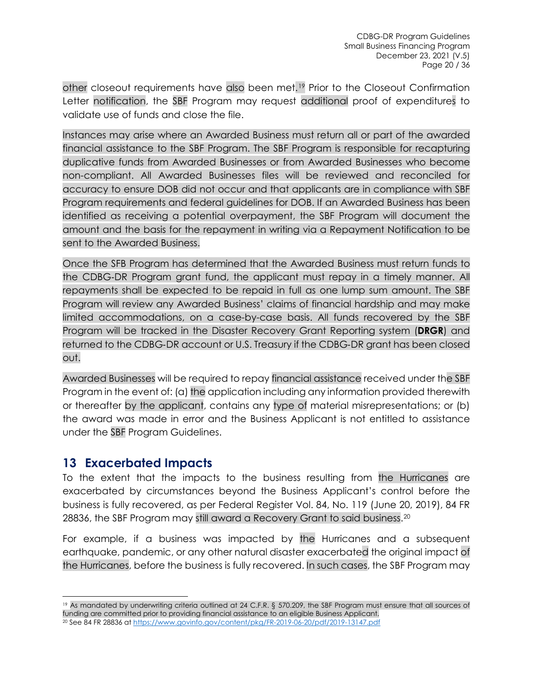other closeout requirements have also been met.[19](#page-19-1) Prior to the Closeout Confirmation Letter notification, the SBF Program may request additional proof of expenditures to validate use of funds and close the file.

Instances may arise where an Awarded Business must return all or part of the awarded financial assistance to the SBF Program. The SBF Program is responsible for recapturing duplicative funds from Awarded Businesses or from Awarded Businesses who become non-compliant. All Awarded Businesses files will be reviewed and reconciled for accuracy to ensure DOB did not occur and that applicants are in compliance with SBF Program requirements and federal guidelines for DOB. If an Awarded Business has been identified as receiving a potential overpayment, the SBF Program will document the amount and the basis for the repayment in writing via a Repayment Notification to be sent to the Awarded Business.

Once the SFB Program has determined that the Awarded Business must return funds to the CDBG‐DR Program grant fund, the applicant must repay in a timely manner. All repayments shall be expected to be repaid in full as one lump sum amount. The SBF Program will review any Awarded Business' claims of financial hardship and may make limited accommodations, on a case-by-case basis. All funds recovered by the SBF Program will be tracked in the Disaster Recovery Grant Reporting system (**DRGR**) and returned to the CDBG‐DR account or U.S. Treasury if the CDBG‐DR grant has been closed out.

Awarded Businesses will be required to repay financial assistance received under the SBF Program in the event of: (a) the application including any information provided therewith or thereafter by the applicant, contains any type of material misrepresentations; or (b) the award was made in error and the Business Applicant is not entitled to assistance under the SBF Program Guidelines.

## <span id="page-19-0"></span>**13 Exacerbated Impacts**

To the extent that the impacts to the business resulting from the Hurricanes are exacerbated by circumstances beyond the Business Applicant's control before the business is fully recovered, as per Federal Register Vol. 84, No. 119 (June 20, 2019), 84 FR 28836, the SBF Program may still award a Recovery Grant to said business.<sup>[20](#page-19-2)</sup>

For example, if a business was impacted by the Hurricanes and a subsequent earthquake, pandemic, or any other natural disaster exacerbated the original impact of the Hurricanes, before the business is fully recovered. In such cases, the SBF Program may

<span id="page-19-2"></span><span id="page-19-1"></span> <sup>19</sup> As mandated by underwriting criteria outlined at 24 C.F.R. § 570.209, the SBF Program must ensure that all sources of funding are committed prior to providing financial assistance to an eligible Business Applicant. <sup>20</sup> See 84 FR 28836 a[t https://www.govinfo.gov/content/pkg/FR-2019-06-20/pdf/2019-13147.pdf](https://www.govinfo.gov/content/pkg/FR-2019-06-20/pdf/2019-13147.pdf)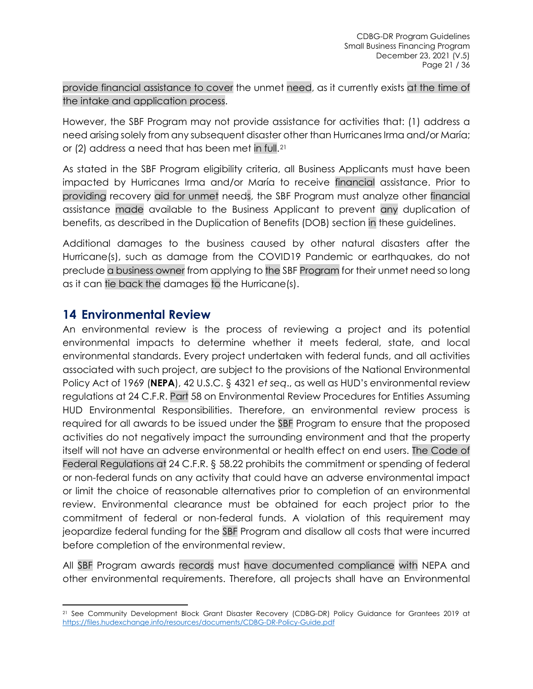provide financial assistance to cover the unmet need, as it currently exists at the time of the intake and application process.

However, the SBF Program may not provide assistance for activities that: (1) address a need arising solely from any subsequent disaster other than Hurricanes Irma and/or María; or (2) address a need that has been met in full.[21](#page-20-1)

As stated in the SBF Program eligibility criteria, all Business Applicants must have been impacted by Hurricanes Irma and/or María to receive financial assistance. Prior to providing recovery aid for unmet needs, the SBF Program must analyze other financial assistance made available to the Business Applicant to prevent any duplication of benefits, as described in the Duplication of Benefits (DOB) section in these guidelines.

Additional damages to the business caused by other natural disasters after the Hurricane(s), such as damage from the COVID19 Pandemic or earthquakes, do not preclude a business owner from applying to the SBF Program for their unmet need so long as it can tie back the damages to the Hurricane(s).

## <span id="page-20-0"></span>**14 Environmental Review**

An environmental review is the process of reviewing a project and its potential environmental impacts to determine whether it meets federal, state, and local environmental standards. Every project undertaken with federal funds, and all activities associated with such project, are subject to the provisions of the National Environmental Policy Act of 1969 (**NEPA**), 42 U.S.C. § 4321 *et seq*., as well as HUD's environmental review regulations at 24 C.F.R. Part 58 on Environmental Review Procedures for Entities Assuming HUD Environmental Responsibilities. Therefore, an environmental review process is required for all awards to be issued under the SBF Program to ensure that the proposed activities do not negatively impact the surrounding environment and that the property itself will not have an adverse environmental or health effect on end users. The Code of Federal Regulations at 24 C.F.R. § 58.22 prohibits the commitment or spending of federal or non-federal funds on any activity that could have an adverse environmental impact or limit the choice of reasonable alternatives prior to completion of an environmental review. Environmental clearance must be obtained for each project prior to the commitment of federal or non-federal funds. A violation of this requirement may jeopardize federal funding for the SBF Program and disallow all costs that were incurred before completion of the environmental review.

All SBF Program awards records must have documented compliance with NEPA and other environmental requirements. Therefore, all projects shall have an Environmental

<span id="page-20-1"></span> <sup>21</sup> See Community Development Block Grant Disaster Recovery (CDBG-DR) Policy Guidance for Grantees 2019 at <https://files.hudexchange.info/resources/documents/CDBG-DR-Policy-Guide.pdf>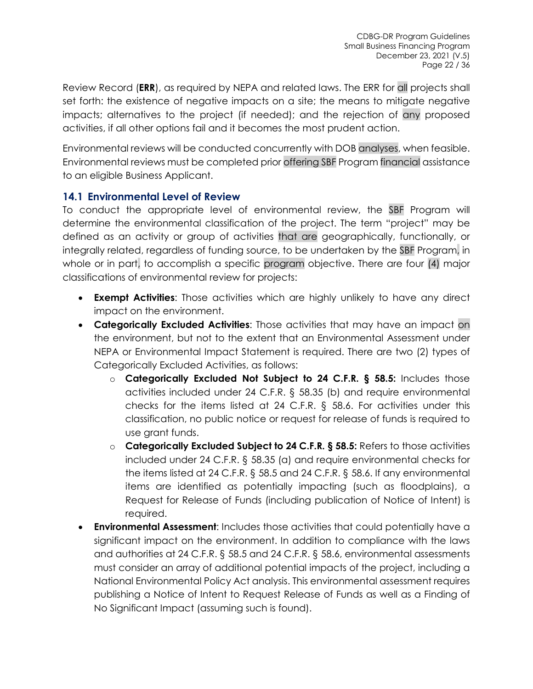Review Record (**ERR**), as required by NEPA and related laws. The ERR for all projects shall set forth: the existence of negative impacts on a site; the means to mitigate negative impacts; alternatives to the project (if needed); and the rejection of any proposed activities, if all other options fail and it becomes the most prudent action.

Environmental reviews will be conducted concurrently with DOB analyses, when feasible. Environmental reviews must be completed prior offering SBF Program financial assistance to an eligible Business Applicant.

#### <span id="page-21-0"></span>**14.1 Environmental Level of Review**

To conduct the appropriate level of environmental review, the SBF Program will determine the environmental classification of the project. The term "project" may be defined as an activity or group of activities that are geographically, functionally, or integrally related, regardless of funding source, to be undertaken by the SBF Program, in whole or in part, to accomplish a specific program objective. There are four (4) major classifications of environmental review for projects:

- **Exempt Activities**: Those activities which are highly unlikely to have any direct impact on the environment.
- **Categorically Excluded Activities**: Those activities that may have an impact on the environment, but not to the extent that an Environmental Assessment under NEPA or Environmental Impact Statement is required. There are two (2) types of Categorically Excluded Activities, as follows:
	- o **Categorically Excluded Not Subject to 24 C.F.R. § 58.5:** Includes those activities included under 24 C.F.R. § 58.35 (b) and require environmental checks for the items listed at 24 C.F.R. § 58.6. For activities under this classification, no public notice or request for release of funds is required to use grant funds.
	- o **Categorically Excluded Subject to 24 C.F.R. § 58.5:** Refers to those activities included under 24 C.F.R. § 58.35 (a) and require environmental checks for the items listed at 24 C.F.R. § 58.5 and 24 C.F.R. § 58.6. If any environmental items are identified as potentially impacting (such as floodplains), a Request for Release of Funds (including publication of Notice of Intent) is required.
- **Environmental Assessment**: Includes those activities that could potentially have a significant impact on the environment. In addition to compliance with the laws and authorities at 24 C.F.R. § 58.5 and 24 C.F.R. § 58.6, environmental assessments must consider an array of additional potential impacts of the project, including a National Environmental Policy Act analysis. This environmental assessment requires publishing a Notice of Intent to Request Release of Funds as well as a Finding of No Significant Impact (assuming such is found).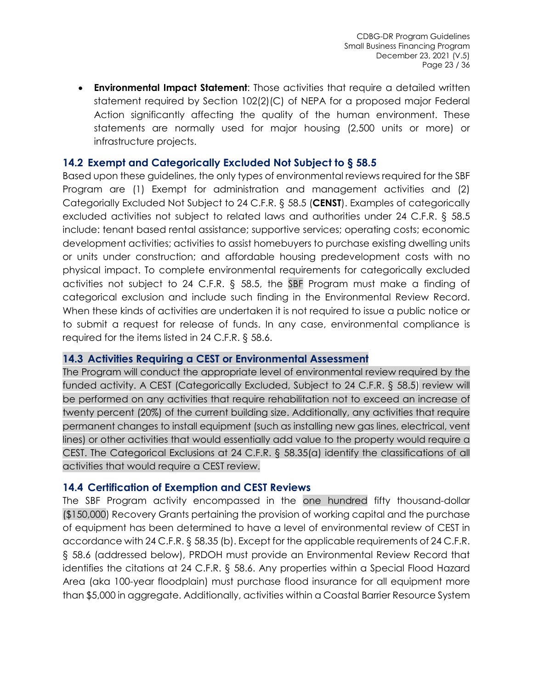• **Environmental Impact Statement**: Those activities that require a detailed written statement required by Section 102(2)(C) of NEPA for a proposed major Federal Action significantly affecting the quality of the human environment. These statements are normally used for major housing (2,500 units or more) or infrastructure projects.

#### <span id="page-22-0"></span>**14.2 Exempt and Categorically Excluded Not Subject to § 58.5**

Based upon these guidelines, the only types of environmental reviews required for the SBF Program are (1) Exempt for administration and management activities and (2) Categorially Excluded Not Subject to 24 C.F.R. § 58.5 (**CENST**). Examples of categorically excluded activities not subject to related laws and authorities under 24 C.F.R. § 58.5 include: tenant based rental assistance; supportive services; operating costs; economic development activities; activities to assist homebuyers to purchase existing dwelling units or units under construction; and affordable housing predevelopment costs with no physical impact. To complete environmental requirements for categorically excluded activities not subject to 24 C.F.R. § 58.5, the SBF Program must make a finding of categorical exclusion and include such finding in the Environmental Review Record. When these kinds of activities are undertaken it is not required to issue a public notice or to submit a request for release of funds. In any case, environmental compliance is required for the items listed in 24 C.F.R. § 58.6.

#### <span id="page-22-1"></span>**14.3 Activities Requiring a CEST or Environmental Assessment**

The Program will conduct the appropriate level of environmental review required by the funded activity. A CEST (Categorically Excluded, Subject to 24 C.F.R. § 58.5) review will be performed on any activities that require rehabilitation not to exceed an increase of twenty percent (20%) of the current building size. Additionally, any activities that require permanent changes to install equipment (such as installing new gas lines, electrical, vent lines) or other activities that would essentially add value to the property would require a CEST. The Categorical Exclusions at 24 C.F.R. § 58.35(a) identify the classifications of all activities that would require a CEST review.

#### <span id="page-22-2"></span>**14.4 Certification of Exemption and CEST Reviews**

The SBF Program activity encompassed in the one hundred fifty thousand-dollar (\$150,000) Recovery Grants pertaining the provision of working capital and the purchase of equipment has been determined to have a level of environmental review of CEST in accordance with 24 C.F.R. § 58.35 (b). Except for the applicable requirements of 24 C.F.R. § 58.6 (addressed below), PRDOH must provide an Environmental Review Record that identifies the citations at 24 C.F.R. § 58.6. Any properties within a Special Flood Hazard Area (aka 100-year floodplain) must purchase flood insurance for all equipment more than \$5,000 in aggregate. Additionally, activities within a Coastal Barrier Resource System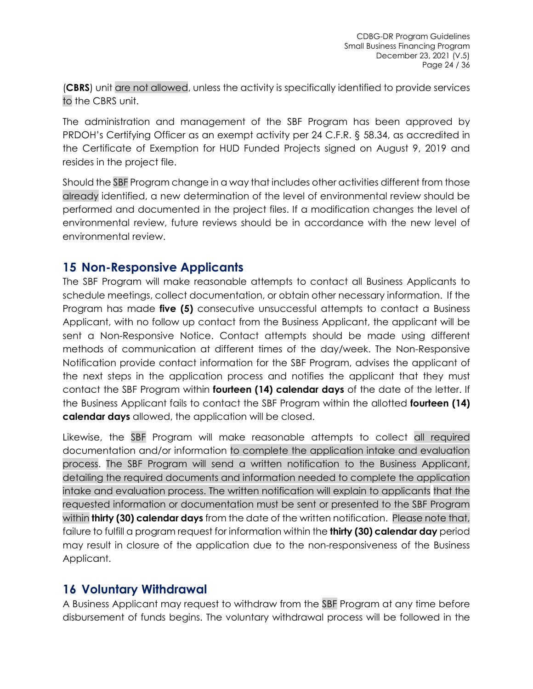(**CBRS**) unit are not allowed, unless the activity is specifically identified to provide services to the CBRS unit.

The administration and management of the SBF Program has been approved by PRDOH's Certifying Officer as an exempt activity per 24 C.F.R. § 58.34, as accredited in the Certificate of Exemption for HUD Funded Projects signed on August 9, 2019 and resides in the project file.

Should the SBF Program change in a way that includes other activities different from those already identified, a new determination of the level of environmental review should be performed and documented in the project files. If a modification changes the level of environmental review, future reviews should be in accordance with the new level of environmental review.

# <span id="page-23-0"></span>**15 Non-Responsive Applicants**

The SBF Program will make reasonable attempts to contact all Business Applicants to schedule meetings, collect documentation, or obtain other necessary information. If the Program has made **five (5)** consecutive unsuccessful attempts to contact a Business Applicant, with no follow up contact from the Business Applicant, the applicant will be sent a Non-Responsive Notice. Contact attempts should be made using different methods of communication at different times of the day/week. The Non-Responsive Notification provide contact information for the SBF Program, advises the applicant of the next steps in the application process and notifies the applicant that they must contact the SBF Program within **fourteen (14) calendar days** of the date of the letter. If the Business Applicant fails to contact the SBF Program within the allotted **fourteen (14) calendar days** allowed, the application will be closed.

Likewise, the SBF Program will make reasonable attempts to collect all required documentation and/or information to complete the application intake and evaluation process. The SBF Program will send a written notification to the Business Applicant, detailing the required documents and information needed to complete the application intake and evaluation process. The written notification will explain to applicants that the requested information or documentation must be sent or presented to the SBF Program within **thirty (30) calendar days** from the date of the written notification. Please note that, failure to fulfill a program request for information within the **thirty (30) calendar day** period may result in closure of the application due to the non-responsiveness of the Business Applicant.

## <span id="page-23-1"></span>**16 Voluntary Withdrawal**

A Business Applicant may request to withdraw from the SBF Program at any time before disbursement of funds begins. The voluntary withdrawal process will be followed in the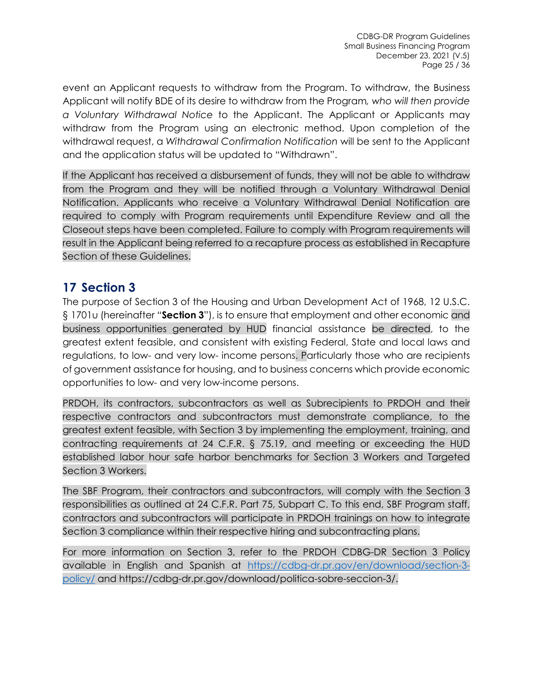event an Applicant requests to withdraw from the Program. To withdraw, the Business Applicant will notify BDE of its desire to withdraw from the Program*, who will then provide a Voluntary Withdrawal Notice* to the Applicant. The Applicant or Applicants may withdraw from the Program using an electronic method. Upon completion of the withdrawal request, a *Withdrawal Confirmation Notification* will be sent to the Applicant and the application status will be updated to "Withdrawn".

If the Applicant has received a disbursement of funds, they will not be able to withdraw from the Program and they will be notified through a Voluntary Withdrawal Denial Notification. Applicants who receive a Voluntary Withdrawal Denial Notification are required to comply with Program requirements until Expenditure Review and all the Closeout steps have been completed. Failure to comply with Program requirements will result in the Applicant being referred to a recapture process as established in Recapture Section of these Guidelines.

# <span id="page-24-0"></span>**17 Section 3**

The purpose of Section 3 of the Housing and Urban Development Act of 1968, 12 U.S.C. § 1701u (hereinafter "**Section 3**"), is to ensure that employment and other economic and business opportunities generated by HUD financial assistance be directed, to the greatest extent feasible, and consistent with existing Federal, State and local laws and regulations, to low- and very low- income persons. Particularly those who are recipients of government assistance for housing, and to business concerns which provide economic opportunities to low- and very low-income persons.

PRDOH, its contractors, subcontractors as well as Subrecipients to PRDOH and their respective contractors and subcontractors must demonstrate compliance, to the greatest extent feasible, with Section 3 by implementing the employment, training, and contracting requirements at 24 C.F.R. § 75.19, and meeting or exceeding the HUD established labor hour safe harbor benchmarks for Section 3 Workers and Targeted Section 3 Workers.

The SBF Program, their contractors and subcontractors, will comply with the Section 3 responsibilities as outlined at 24 C.F.R. Part 75, Subpart C. To this end, SBF Program staff, contractors and subcontractors will participate in PRDOH trainings on how to integrate Section 3 compliance within their respective hiring and subcontracting plans.

For more information on Section 3, refer to the PRDOH CDBG-DR Section 3 Policy available in English and Spanish at [https://cdbg-dr.pr.gov/en/download/section-3](https://cdbg-dr.pr.gov/en/download/section-3-policy/) [policy/](https://cdbg-dr.pr.gov/en/download/section-3-policy/) and https://cdbg-dr.pr.gov/download/politica-sobre-seccion-3/.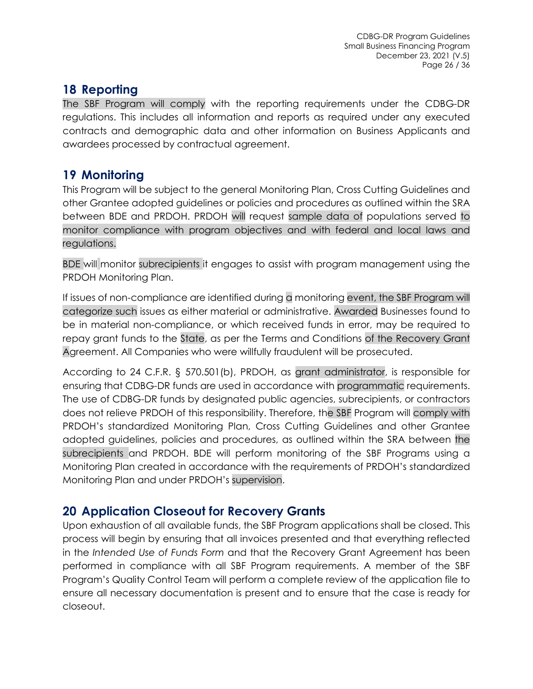# <span id="page-25-0"></span>**18 Reporting**

The SBF Program will comply with the reporting requirements under the CDBG-DR regulations. This includes all information and reports as required under any executed contracts and demographic data and other information on Business Applicants and awardees processed by contractual agreement.

# <span id="page-25-1"></span>**19 Monitoring**

This Program will be subject to the general Monitoring Plan, Cross Cutting Guidelines and other Grantee adopted guidelines or policies and procedures as outlined within the SRA between BDE and PRDOH. PRDOH will request sample data of populations served to monitor compliance with program objectives and with federal and local laws and regulations.

BDE will monitor subrecipients it engages to assist with program management using the PRDOH Monitoring Plan.

If issues of non-compliance are identified during a monitoring event, the SBF Program will categorize such issues as either material or administrative. Awarded Businesses found to be in material non-compliance, or which received funds in error, may be required to repay grant funds to the State, as per the Terms and Conditions of the Recovery Grant Agreement. All Companies who were willfully fraudulent will be prosecuted.

According to 24 C.F.R. § 570.501(b), PRDOH, as grant administrator, is responsible for ensuring that CDBG-DR funds are used in accordance with programmatic requirements. The use of CDBG-DR funds by designated public agencies, subrecipients, or contractors does not relieve PRDOH of this responsibility. Therefore, the SBF Program will comply with PRDOH's standardized Monitoring Plan, Cross Cutting Guidelines and other Grantee adopted guidelines, policies and procedures, as outlined within the SRA between the subrecipients and PRDOH. BDE will perform monitoring of the SBF Programs using a Monitoring Plan created in accordance with the requirements of PRDOH's standardized Monitoring Plan and under PRDOH's supervision.

# <span id="page-25-2"></span>**20 Application Closeout for Recovery Grants**

Upon exhaustion of all available funds, the SBF Program applications shall be closed. This process will begin by ensuring that all invoices presented and that everything reflected in the *Intended Use of Funds Form* and that the Recovery Grant Agreement has been performed in compliance with all SBF Program requirements. A member of the SBF Program's Quality Control Team will perform a complete review of the application file to ensure all necessary documentation is present and to ensure that the case is ready for closeout.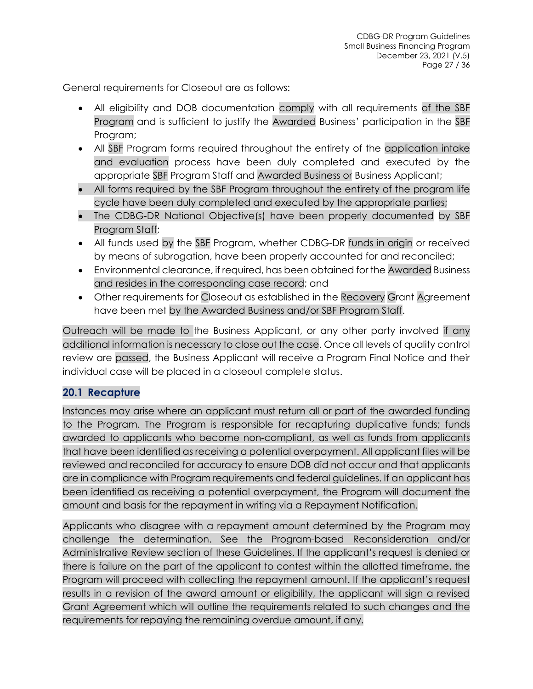General requirements for Closeout are as follows:

- All eligibility and DOB documentation comply with all requirements of the SBF Program and is sufficient to justify the Awarded Business' participation in the SBF Program;
- All SBF Program forms required throughout the entirety of the application intake and evaluation process have been duly completed and executed by the appropriate SBF Program Staff and Awarded Business or Business Applicant;
- All forms required by the SBF Program throughout the entirety of the program life cycle have been duly completed and executed by the appropriate parties;
- The CDBG-DR National Objective(s) have been properly documented by SBF Program Staff;
- All funds used by the SBF Program, whether CDBG-DR funds in origin or received by means of subrogation, have been properly accounted for and reconciled;
- Environmental clearance, if required, has been obtained for the Awarded Business and resides in the corresponding case record; and
- Other requirements for Closeout as established in the Recovery Grant Agreement have been met by the Awarded Business and/or SBF Program Staff.

Outreach will be made to the Business Applicant, or any other party involved if any additional information is necessary to close out the case. Once all levels of quality control review are passed, the Business Applicant will receive a Program Final Notice and their individual case will be placed in a closeout complete status.

#### <span id="page-26-0"></span>**20.1 Recapture**

Instances may arise where an applicant must return all or part of the awarded funding to the Program. The Program is responsible for recapturing duplicative funds; funds awarded to applicants who become non-compliant, as well as funds from applicants that have been identified as receiving a potential overpayment. All applicant files will be reviewed and reconciled for accuracy to ensure DOB did not occur and that applicants are in compliance with Program requirements and federal guidelines. If an applicant has been identified as receiving a potential overpayment, the Program will document the amount and basis for the repayment in writing via a Repayment Notification.

Applicants who disagree with a repayment amount determined by the Program may challenge the determination. See the Program-based Reconsideration and/or Administrative Review section of these Guidelines. If the applicant's request is denied or there is failure on the part of the applicant to contest within the allotted timeframe, the Program will proceed with collecting the repayment amount. If the applicant's request results in a revision of the award amount or eligibility, the applicant will sign a revised Grant Agreement which will outline the requirements related to such changes and the requirements for repaying the remaining overdue amount, if any.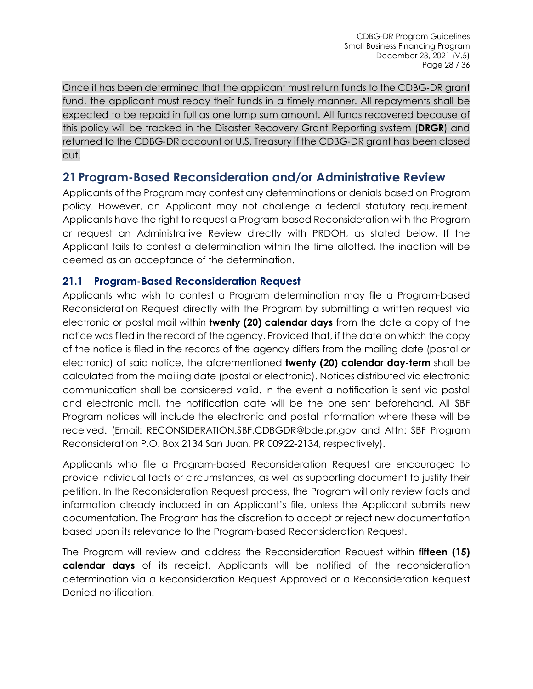Once it has been determined that the applicant must return funds to the CDBG‐DR grant fund, the applicant must repay their funds in a timely manner. All repayments shall be expected to be repaid in full as one lump sum amount. All funds recovered because of this policy will be tracked in the Disaster Recovery Grant Reporting system (**DRGR**) and returned to the CDBG‐DR account or U.S. Treasury if the CDBG‐DR grant has been closed out.

# <span id="page-27-0"></span>**21 Program-Based Reconsideration and/or Administrative Review**

Applicants of the Program may contest any determinations or denials based on Program policy. However, an Applicant may not challenge a federal statutory requirement. Applicants have the right to request a Program-based Reconsideration with the Program or request an Administrative Review directly with PRDOH, as stated below. If the Applicant fails to contest a determination within the time allotted, the inaction will be deemed as an acceptance of the determination.

#### <span id="page-27-1"></span>**21.1 Program-Based Reconsideration Request**

Applicants who wish to contest a Program determination may file a Program-based Reconsideration Request directly with the Program by submitting a written request via electronic or postal mail within **twenty (20) calendar days** from the date a copy of the notice was filed in the record of the agency. Provided that, if the date on which the copy of the notice is filed in the records of the agency differs from the mailing date (postal or electronic) of said notice, the aforementioned **twenty (20) calendar day-term** shall be calculated from the mailing date (postal or electronic). Notices distributed via electronic communication shall be considered valid. In the event a notification is sent via postal and electronic mail, the notification date will be the one sent beforehand. All SBF Program notices will include the electronic and postal information where these will be received. (Email: RECONSIDERATION.SBF.CDBGDR@bde.pr.gov and Attn: SBF Program Reconsideration P.O. Box 2134 San Juan, PR 00922-2134, respectively).

Applicants who file a Program-based Reconsideration Request are encouraged to provide individual facts or circumstances, as well as supporting document to justify their petition. In the Reconsideration Request process, the Program will only review facts and information already included in an Applicant's file, unless the Applicant submits new documentation. The Program has the discretion to accept or reject new documentation based upon its relevance to the Program-based Reconsideration Request.

The Program will review and address the Reconsideration Request within **fifteen (15) calendar days** of its receipt. Applicants will be notified of the reconsideration determination via a Reconsideration Request Approved or a Reconsideration Request Denied notification.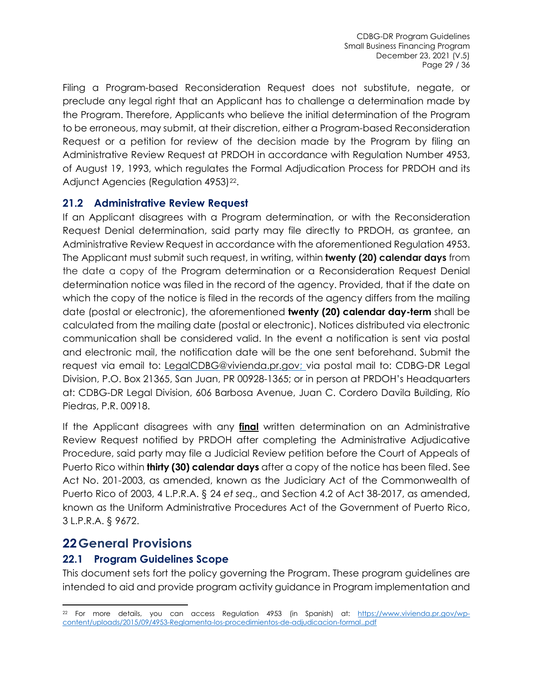Filing a Program-based Reconsideration Request does not substitute, negate, or preclude any legal right that an Applicant has to challenge a determination made by the Program. Therefore, Applicants who believe the initial determination of the Program to be erroneous, may submit, at their discretion, either a Program-based Reconsideration Request or a petition for review of the decision made by the Program by filing an Administrative Review Request at PRDOH in accordance with Regulation Number 4953, of August 19, 1993, which regulates the Formal Adjudication Process for PRDOH and its Adjunct Agencies (Regulation 4953)<sup>22</sup>.

#### <span id="page-28-0"></span>**21.2 Administrative Review Request**

If an Applicant disagrees with a Program determination, or with the Reconsideration Request Denial determination, said party may file directly to PRDOH, as grantee, an Administrative Review Request in accordance with the aforementioned Regulation 4953. The Applicant must submit such request, in writing, within **twenty (20) calendar days** from the date a copy of the Program determination or a Reconsideration Request Denial determination notice was filed in the record of the agency. Provided, that if the date on which the copy of the notice is filed in the records of the agency differs from the mailing date (postal or electronic), the aforementioned **twenty (20) calendar day-term** shall be calculated from the mailing date (postal or electronic). Notices distributed via electronic communication shall be considered valid. In the event a notification is sent via postal and electronic mail, the notification date will be the one sent beforehand. Submit the request via email to: [LegalCDBG@vivienda.pr.gov;](mailto:LegalCDBG@vivienda.pr.gov) via postal mail to: CDBG-DR Legal Division, P.O. Box 21365, San Juan, PR 00928-1365; or in person at PRDOH's Headquarters at: CDBG-DR Legal Division, 606 Barbosa Avenue, Juan C. Cordero Davila Building, Río Piedras, P.R. 00918.

If the Applicant disagrees with any **final** written determination on an Administrative Review Request notified by PRDOH after completing the Administrative Adjudicative Procedure, said party may file a Judicial Review petition before the Court of Appeals of Puerto Rico within **thirty (30) calendar days** after a copy of the notice has been filed. See Act No. 201-2003, as amended, known as the Judiciary Act of the Commonwealth of Puerto Rico of 2003, 4 L.P.R.A. § 24 *et seq*., and Section 4.2 of Act 38-2017, as amended, known as the Uniform Administrative Procedures Act of the Government of Puerto Rico, 3 L.P.R.A. § 9672.

## <span id="page-28-1"></span>**22General Provisions**

#### <span id="page-28-2"></span>**22.1 Program Guidelines Scope**

This document sets fort the policy governing the Program. These program guidelines are intended to aid and provide program activity guidance in Program implementation and

<span id="page-28-3"></span> <sup>22</sup> For more details, you can access Regulation 4953 (in Spanish) at: [https://www.vivienda.pr.gov/wp](https://www.vivienda.pr.gov/wp-content/uploads/2015/09/4953-Reglamenta-los-procedimientos-de-adjudicacion-formal..pdf)[content/uploads/2015/09/4953-Reglamenta-los-procedimientos-de-adjudicacion-formal..pdf](https://www.vivienda.pr.gov/wp-content/uploads/2015/09/4953-Reglamenta-los-procedimientos-de-adjudicacion-formal..pdf)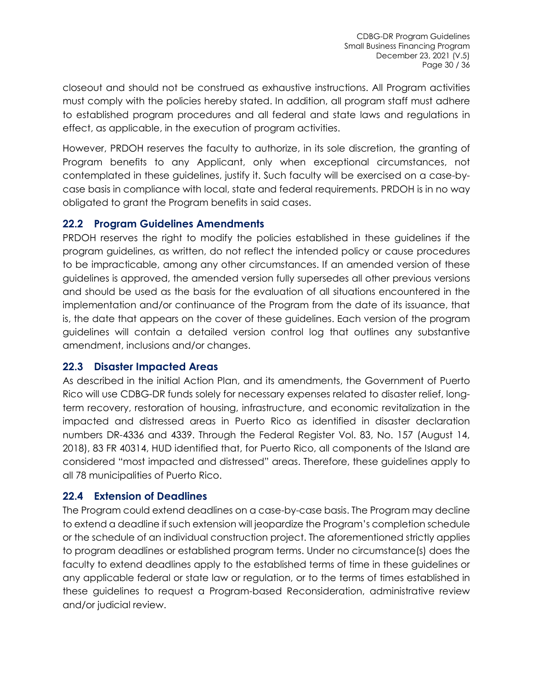closeout and should not be construed as exhaustive instructions. All Program activities must comply with the policies hereby stated. In addition, all program staff must adhere to established program procedures and all federal and state laws and regulations in effect, as applicable, in the execution of program activities.

However, PRDOH reserves the faculty to authorize, in its sole discretion, the granting of Program benefits to any Applicant, only when exceptional circumstances, not contemplated in these guidelines, justify it. Such faculty will be exercised on a case-bycase basis in compliance with local, state and federal requirements. PRDOH is in no way obligated to grant the Program benefits in said cases.

#### <span id="page-29-0"></span>**22.2 Program Guidelines Amendments**

PRDOH reserves the right to modify the policies established in these guidelines if the program guidelines, as written, do not reflect the intended policy or cause procedures to be impracticable, among any other circumstances. If an amended version of these guidelines is approved, the amended version fully supersedes all other previous versions and should be used as the basis for the evaluation of all situations encountered in the implementation and/or continuance of the Program from the date of its issuance, that is, the date that appears on the cover of these guidelines. Each version of the program guidelines will contain a detailed version control log that outlines any substantive amendment, inclusions and/or changes.

#### <span id="page-29-1"></span>**22.3 Disaster Impacted Areas**

As described in the initial Action Plan, and its amendments, the Government of Puerto Rico will use CDBG-DR funds solely for necessary expenses related to disaster relief, longterm recovery, restoration of housing, infrastructure, and economic revitalization in the impacted and distressed areas in Puerto Rico as identified in disaster declaration numbers DR-4336 and 4339. Through the Federal Register Vol. 83, No. 157 (August 14, 2018), 83 FR 40314, HUD identified that, for Puerto Rico, all components of the Island are considered "most impacted and distressed" areas. Therefore, these guidelines apply to all 78 municipalities of Puerto Rico.

#### <span id="page-29-2"></span>**22.4 Extension of Deadlines**

The Program could extend deadlines on a case-by-case basis. The Program may decline to extend a deadline if such extension will jeopardize the Program's completion schedule or the schedule of an individual construction project. The aforementioned strictly applies to program deadlines or established program terms. Under no circumstance(s) does the faculty to extend deadlines apply to the established terms of time in these guidelines or any applicable federal or state law or regulation, or to the terms of times established in these guidelines to request a Program-based Reconsideration, administrative review and/or judicial review.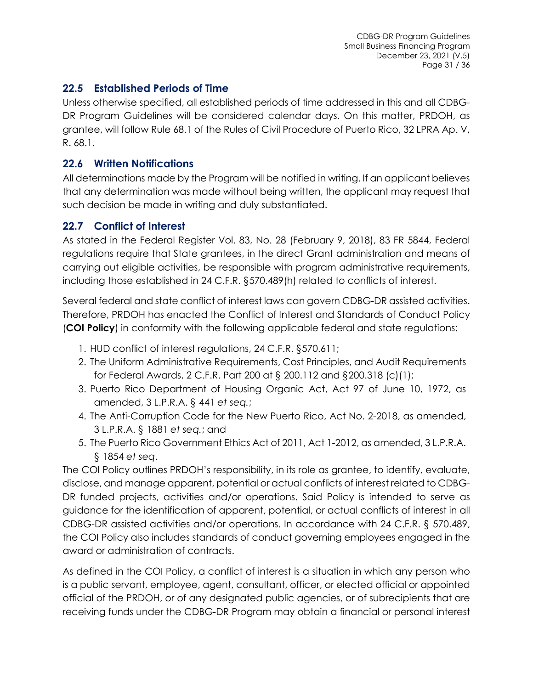#### <span id="page-30-0"></span>**22.5 Established Periods of Time**

Unless otherwise specified, all established periods of time addressed in this and all CDBG-DR Program Guidelines will be considered calendar days. On this matter, PRDOH, as grantee, will follow Rule 68.1 of the Rules of Civil Procedure of Puerto Rico, 32 LPRA Ap. V, R. 68.1.

#### <span id="page-30-1"></span>**22.6 Written Notifications**

All determinations made by the Program will be notified in writing. If an applicant believes that any determination was made without being written, the applicant may request that such decision be made in writing and duly substantiated.

#### <span id="page-30-2"></span>**22.7 Conflict of Interest**

As stated in the Federal Register Vol. 83, No. 28 (February 9, 2018), 83 FR 5844, Federal regulations require that State grantees, in the direct Grant administration and means of carrying out eligible activities, be responsible with program administrative requirements, including those established in 24 C.F.R. §570.489(h) related to conflicts of interest.

Several federal and state conflict of interest laws can govern CDBG-DR assisted activities. Therefore, PRDOH has enacted the Conflict of Interest and Standards of Conduct Policy (**COI Policy**) in conformity with the following applicable federal and state regulations:

- 1. HUD conflict of interest regulations, 24 C.F.R. §570.611;
- 2. The Uniform Administrative Requirements, Cost Principles, and Audit Requirements for Federal Awards, 2 C.F.R. Part 200 at § 200.112 and §200.318 (c)(1);
- 3. Puerto Rico Department of Housing Organic Act, Act 97 of June 10, 1972, as amended, 3 L.P.R.A. § 441 *et seq.*;
- 4. The Anti-Corruption Code for the New Puerto Rico, Act No. 2-2018, as amended, 3 L.P.R.A. § 1881 *et seq.*; and
- 5. The Puerto Rico Government Ethics Act of 2011, Act 1-2012, as amended, 3 L.P.R.A. § 1854 *et seq*.

The COI Policy outlines PRDOH's responsibility, in its role as grantee, to identify, evaluate, disclose, and manage apparent, potential or actual conflicts of interest related to CDBG-DR funded projects, activities and/or operations. Said Policy is intended to serve as guidance for the identification of apparent, potential, or actual conflicts of interest in all CDBG-DR assisted activities and/or operations. In accordance with 24 C.F.R. § 570.489, the COI Policy also includes standards of conduct governing employees engaged in the award or administration of contracts.

As defined in the COI Policy, a conflict of interest is a situation in which any person who is a public servant, employee, agent, consultant, officer, or elected official or appointed official of the PRDOH, or of any designated public agencies, or of subrecipients that are receiving funds under the CDBG-DR Program may obtain a financial or personal interest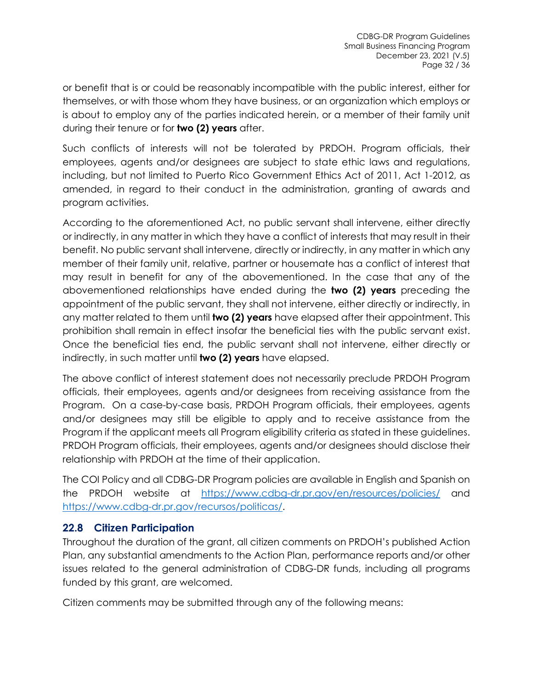or benefit that is or could be reasonably incompatible with the public interest, either for themselves, or with those whom they have business, or an organization which employs or is about to employ any of the parties indicated herein, or a member of their family unit during their tenure or for **two (2) years** after.

Such conflicts of interests will not be tolerated by PRDOH. Program officials, their employees, agents and/or designees are subject to state ethic laws and regulations, including, but not limited to Puerto Rico Government Ethics Act of 2011, Act 1-2012, as amended, in regard to their conduct in the administration, granting of awards and program activities.

According to the aforementioned Act, no public servant shall intervene, either directly or indirectly, in any matter in which they have a conflict of interests that may result in their benefit. No public servant shall intervene, directly or indirectly, in any matter in which any member of their family unit, relative, partner or housemate has a conflict of interest that may result in benefit for any of the abovementioned. In the case that any of the abovementioned relationships have ended during the **two (2) years** preceding the appointment of the public servant, they shall not intervene, either directly or indirectly, in any matter related to them until **two (2) years** have elapsed after their appointment. This prohibition shall remain in effect insofar the beneficial ties with the public servant exist. Once the beneficial ties end, the public servant shall not intervene, either directly or indirectly, in such matter until **two (2) years** have elapsed.

The above conflict of interest statement does not necessarily preclude PRDOH Program officials, their employees, agents and/or designees from receiving assistance from the Program. On a case-by-case basis, PRDOH Program officials, their employees, agents and/or designees may still be eligible to apply and to receive assistance from the Program if the applicant meets all Program eligibility criteria as stated in these guidelines. PRDOH Program officials, their employees, agents and/or designees should disclose their relationship with PRDOH at the time of their application.

The COI Policy and all CDBG-DR Program policies are available in English and Spanish on the PRDOH website at <https://www.cdbg-dr.pr.gov/en/resources/policies/> and [https://www.cdbg-dr.pr.gov/recursos/politicas/.](https://www.cdbg-dr.pr.gov/recursos/politicas/)

#### <span id="page-31-0"></span>**22.8 Citizen Participation**

Throughout the duration of the grant, all citizen comments on PRDOH's published Action Plan, any substantial amendments to the Action Plan, performance reports and/or other issues related to the general administration of CDBG-DR funds, including all programs funded by this grant, are welcomed.

Citizen comments may be submitted through any of the following means: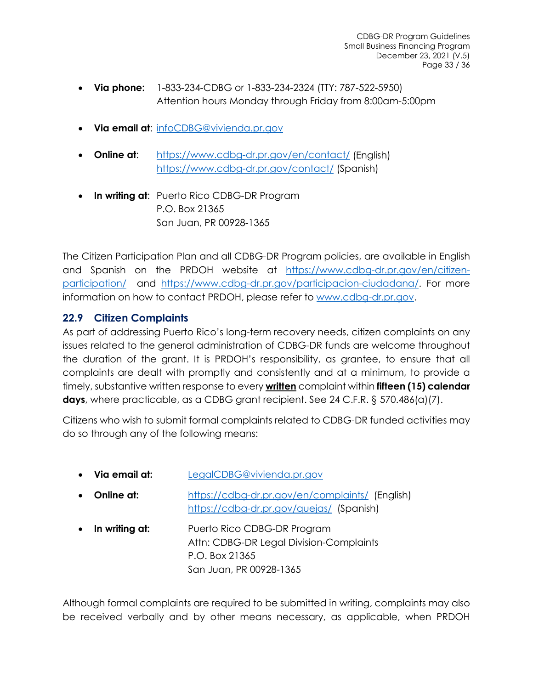- **Via phone:** 1-833-234-CDBG or 1-833-234-2324 (TTY: 787-522-5950) Attention hours Monday through Friday from 8:00am-5:00pm
- **Via email at**: [infoCDBG@vivienda.pr.gov](mailto:infoCDBG@vivienda.pr.gov)
- **Online at**: <https://www.cdbg-dr.pr.gov/en/contact/> (English) <https://www.cdbg-dr.pr.gov/contact/> (Spanish)
- **In writing at:** Puerto Rico CDBG-DR Program P.O. Box 21365 San Juan, PR 00928-1365

The Citizen Participation Plan and all CDBG-DR Program policies, are available in English and Spanish on the PRDOH website at [https://www.cdbg-dr.pr.gov/en/citizen](https://www.cdbg-dr.pr.gov/en/citizen-participation/)[participation/](https://www.cdbg-dr.pr.gov/en/citizen-participation/) and [https://www.cdbg-dr.pr.gov/participacion-ciudadana/.](https://www.cdbg-dr.pr.gov/participacion-ciudadana/) For more information on how to contact PRDOH, please refer to [www.cdbg-dr.pr.gov.](http://www.cdbg-dr.pr.gov/)

#### <span id="page-32-0"></span>**22.9 Citizen Complaints**

As part of addressing Puerto Rico's long-term recovery needs, citizen complaints on any issues related to the general administration of CDBG-DR funds are welcome throughout the duration of the grant. It is PRDOH's responsibility, as grantee, to ensure that all complaints are dealt with promptly and consistently and at a minimum, to provide a timely, substantive written response to every **written** complaint within **fifteen (15) calendar days**, where practicable, as a CDBG grant recipient. See 24 C.F.R. § 570.486(a)(7).

Citizens who wish to submit formal complaints related to CDBG-DR funded activities may do so through any of the following means:

| $\bullet$ | Via email at:  | LegalCDBG@vivienda.pr.gov                                                                                           |
|-----------|----------------|---------------------------------------------------------------------------------------------------------------------|
| $\bullet$ | Online at:     | https://cdbg-dr.pr.gov/en/complaints/ (English)<br>https://cdbg-dr.pr.gov/quejas/ (Spanish)                         |
| $\bullet$ | In writing at: | Puerto Rico CDBG-DR Program<br>Attn: CDBG-DR Legal Division-Complaints<br>P.O. Box 21365<br>San Juan, PR 00928-1365 |

Although formal complaints are required to be submitted in writing, complaints may also be received verbally and by other means necessary, as applicable, when PRDOH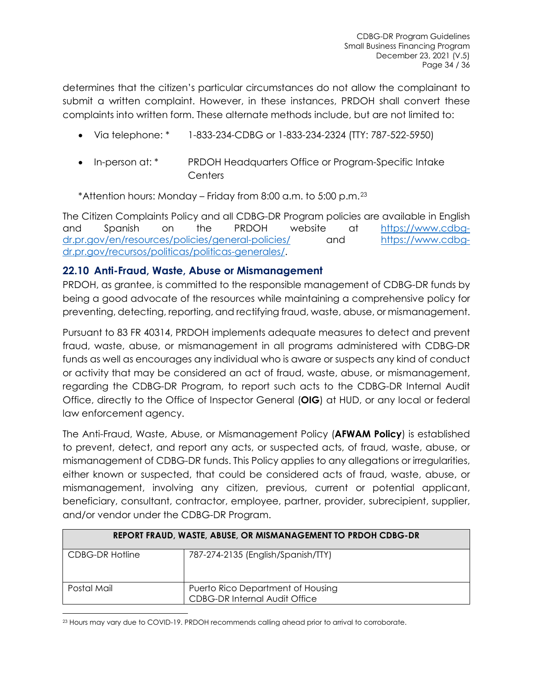determines that the citizen's particular circumstances do not allow the complainant to submit a written complaint. However, in these instances, PRDOH shall convert these complaints into written form. These alternate methods include, but are not limited to:

- Via telephone: \* 1-833-234-CDBG or 1-833-234-2324 (TTY: 787-522-5950)
- In-person at: \* PRDOH Headquarters Office or Program-Specific Intake **Centers**

\*Attention hours: Monday – Friday from 8:00 a.m. to 5:00 p.m.[23](#page-33-1)

The Citizen Complaints Policy and all CDBG-DR Program policies are available in English and Spanish on the PRDOH website at [https://www.cdbg](https://www.cdbg-dr.pr.gov/en/resources/policies/general-policies/)[dr.pr.gov/en/resources/policies/general-policies/](https://www.cdbg-dr.pr.gov/en/resources/policies/general-policies/) and [https://www.cdbg](https://www.cdbg-dr.pr.gov/recursos/politicas/politicas-generales/)[dr.pr.gov/recursos/politicas/politicas-generales/.](https://www.cdbg-dr.pr.gov/recursos/politicas/politicas-generales/)

#### <span id="page-33-0"></span>**22.10 Anti-Fraud, Waste, Abuse or Mismanagement**

PRDOH, as grantee, is committed to the responsible management of CDBG-DR funds by being a good advocate of the resources while maintaining a comprehensive policy for preventing, detecting, reporting, and rectifying fraud, waste, abuse, or mismanagement.

Pursuant to 83 FR 40314, PRDOH implements adequate measures to detect and prevent fraud, waste, abuse, or mismanagement in all programs administered with CDBG-DR funds as well as encourages any individual who is aware or suspects any kind of conduct or activity that may be considered an act of fraud, waste, abuse, or mismanagement, regarding the CDBG-DR Program, to report such acts to the CDBG-DR Internal Audit Office, directly to the Office of Inspector General (**OIG**) at HUD, or any local or federal law enforcement agency.

The Anti-Fraud, Waste, Abuse, or Mismanagement Policy (**AFWAM Policy**) is established to prevent, detect, and report any acts, or suspected acts, of fraud, waste, abuse, or mismanagement of CDBG-DR funds. This Policy applies to any allegations or irregularities, either known or suspected, that could be considered acts of fraud, waste, abuse, or mismanagement, involving any citizen, previous, current or potential applicant, beneficiary, consultant, contractor, employee, partner, provider, subrecipient, supplier, and/or vendor under the CDBG-DR Program.

| REPORT FRAUD, WASTE, ABUSE, OR MISMANAGEMENT TO PRDOH CDBG-DR |                                                                           |
|---------------------------------------------------------------|---------------------------------------------------------------------------|
| <b>CDBG-DR Hotline</b>                                        | 787-274-2135 (English/Spanish/TTY)                                        |
| Postal Mail                                                   | Puerto Rico Department of Housing<br><b>CDBG-DR Internal Audit Office</b> |

<span id="page-33-1"></span> <sup>23</sup> Hours may vary due to COVID-19. PRDOH recommends calling ahead prior to arrival to corroborate.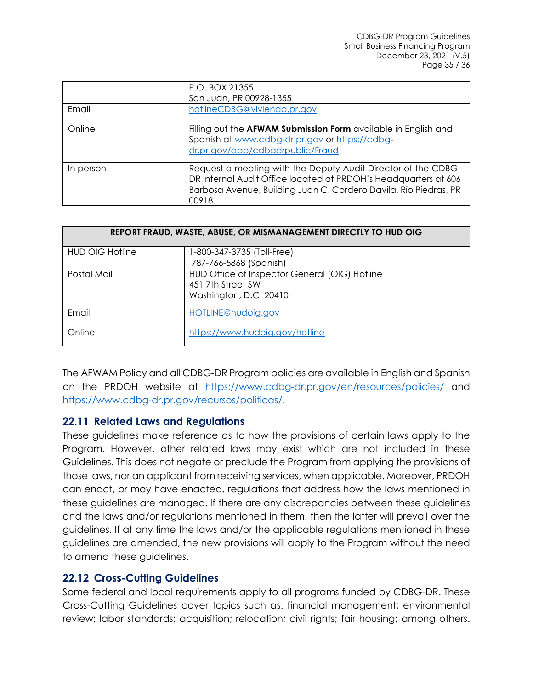|           | P.O. BOX 21355<br>San Juan, PR 00928-1355                                                                                                                                                                      |
|-----------|----------------------------------------------------------------------------------------------------------------------------------------------------------------------------------------------------------------|
| Email     | hotlineCDBG@vivienda.pr.gov                                                                                                                                                                                    |
| Online    | Filling out the <b>AFWAM Submission Form</b> available in English and<br>Spanish at www.cdbg-dr.pr.gov or https://cdbg-<br>dr.pr.gov/app/cdbgdrpublic/Fraud                                                    |
| In person | Request a meeting with the Deputy Audit Director of the CDBG-<br>DR Internal Audit Office located at PRDOH's Headquarters at 606<br>Barbosa Avenue, Building Juan C. Cordero Davila, Río Piedras, PR<br>00918. |

| REPORT FRAUD, WASTE, ABUSE, OR MISMANAGEMENT DIRECTLY TO HUD OIG |                                                                                              |  |
|------------------------------------------------------------------|----------------------------------------------------------------------------------------------|--|
| HUD OIG Hotline                                                  | 1-800-347-3735 (Toll-Free)<br>787-766-5868 (Spanish)                                         |  |
| Postal Mail                                                      | HUD Office of Inspector General (OIG) Hotline<br>451 7th Street SW<br>Washington, D.C. 20410 |  |
| Email                                                            | HOTLINE@hudoig.gov                                                                           |  |
| Online                                                           | https://www.hudoig.gov/hotline                                                               |  |

The AFWAM Policy and all CDBG-DR Program policies are available in English and Spanish on the PRDOH website at <https://www.cdbg-dr.pr.gov/en/resources/policies/> and [https://www.cdbg-dr.pr.gov/recursos/politicas/.](https://www.cdbg-dr.pr.gov/recursos/politicas/)

#### <span id="page-34-0"></span>**22.11 Related Laws and Regulations**

These guidelines make reference as to how the provisions of certain laws apply to the Program. However, other related laws may exist which are not included in these Guidelines. This does not negate or preclude the Program from applying the provisions of those laws, nor an applicant from receiving services, when applicable. Moreover, PRDOH can enact, or may have enacted, regulations that address how the laws mentioned in these guidelines are managed. If there are any discrepancies between these guidelines and the laws and/or regulations mentioned in them, then the latter will prevail over the guidelines. If at any time the laws and/or the applicable regulations mentioned in these guidelines are amended, the new provisions will apply to the Program without the need to amend these guidelines.

#### <span id="page-34-1"></span>**22.12 Cross-Cutting Guidelines**

Some federal and local requirements apply to all programs funded by CDBG-DR. These Cross-Cutting Guidelines cover topics such as: financial management; environmental review; labor standards; acquisition; relocation; civil rights; fair housing; among others.